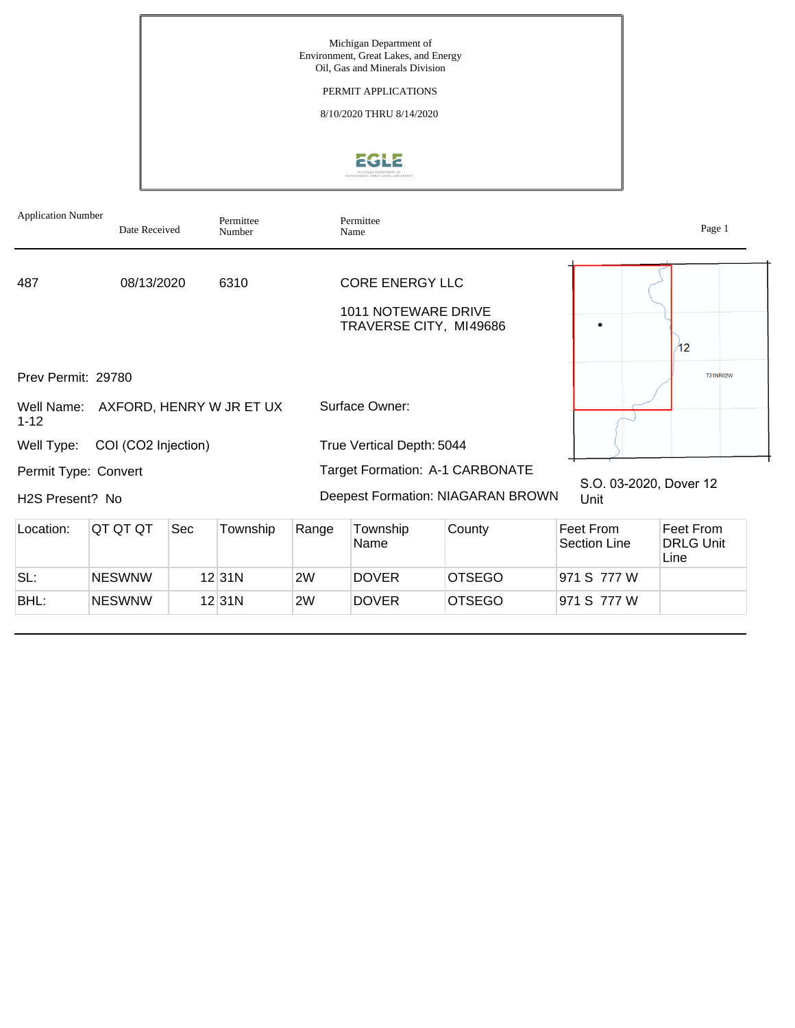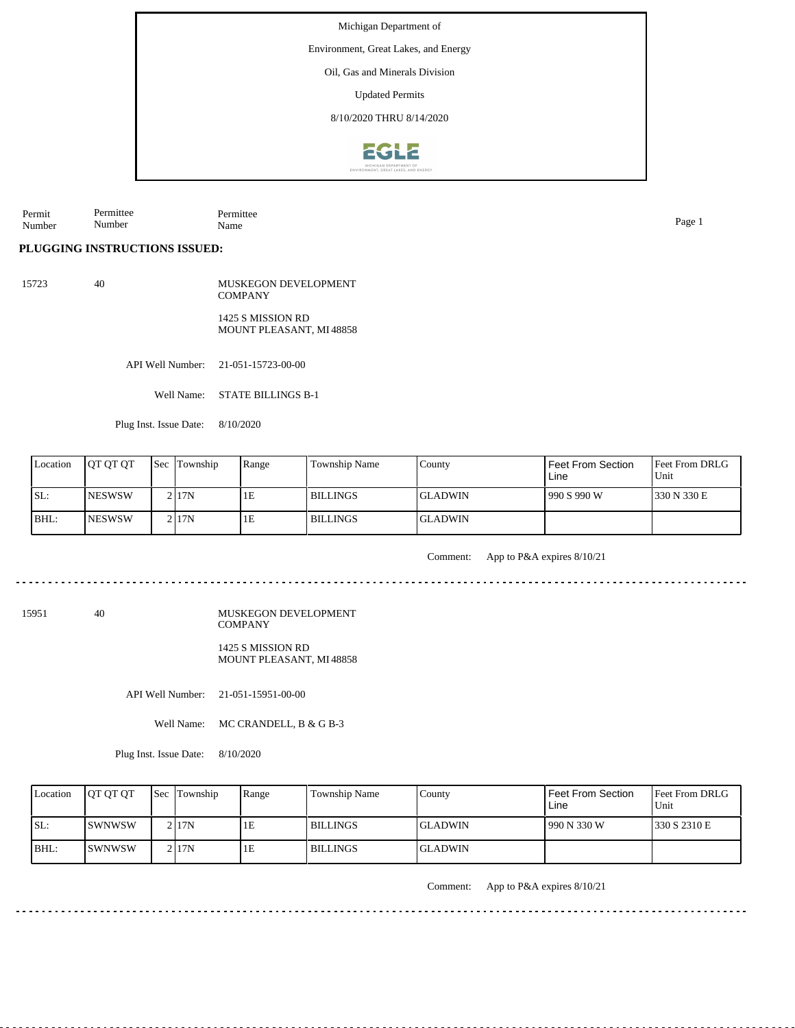Environment, Great Lakes, and Energy

Oil, Gas and Minerals Division

Updated Permits

8/10/2020 THRU 8/14/2020



Permit Number Permittee Number Permittee Name Page 1

**PLUGGING INSTRUCTIONS ISSUED:**

15723 40 MUSKEGON DEVELOPMENT COMPANY

> 1425 S MISSION RD MOUNT PLEASANT, MI 48858

API Well Number: 21-051-15723-00-00

Well Name: STATE BILLINGS B-1

Plug Inst. Issue Date: 8/10/2020

| Location | <b>IOT OT OT</b> | <b>Sec</b> Township | Range | Township Name   | County          | Feet From Section<br>Line | <b>Feet From DRLG</b><br>Unit |
|----------|------------------|---------------------|-------|-----------------|-----------------|---------------------------|-------------------------------|
| ISL:     | <b>INESWSW</b>   | 2117N               | 1E    | I BILLINGS      | <b>IGLADWIN</b> | 990 S 990 W               | 330 N 330 E                   |
| BHL:     | <b>NESWSW</b>    | 21 <sub>17</sub> N  | 1E    | <b>BILLINGS</b> | <b>IGLADWIN</b> |                           |                               |

 $- - - - - -$ 

Comment: App to P&A expires 8/10/21

15951 40

MUSKEGON DEVELOPMENT **COMPANY** 1425 S MISSION RD

MOUNT PLEASANT, MI 48858

API Well Number: 21-051-15951-00-00

Well Name: MC CRANDELL, B & G B-3

Plug Inst. Issue Date: 8/10/2020

| Location | <b>OT OT OT</b> | <b>Sec</b> Township | Range | <b>Township Name</b> | Countv          | Feet From Section<br>Line | Feet From DRLG<br>Unit |
|----------|-----------------|---------------------|-------|----------------------|-----------------|---------------------------|------------------------|
| SL:      | <b>ISWNWSW</b>  | 2 I 17 N            | 1E    | l BILLINGS           | <b>IGLADWIN</b> | 990 N 330 W               | 1330 S 2310 E          |
| $IBHL$ : | ISWNWSW         | 2117N               | 1E    | l BILLINGS           | <b>IGLADWIN</b> |                           |                        |

Comment: App to P&A expires 8/10/21

الدامات بالدامات

<u>. . . . . . . . . . . .</u>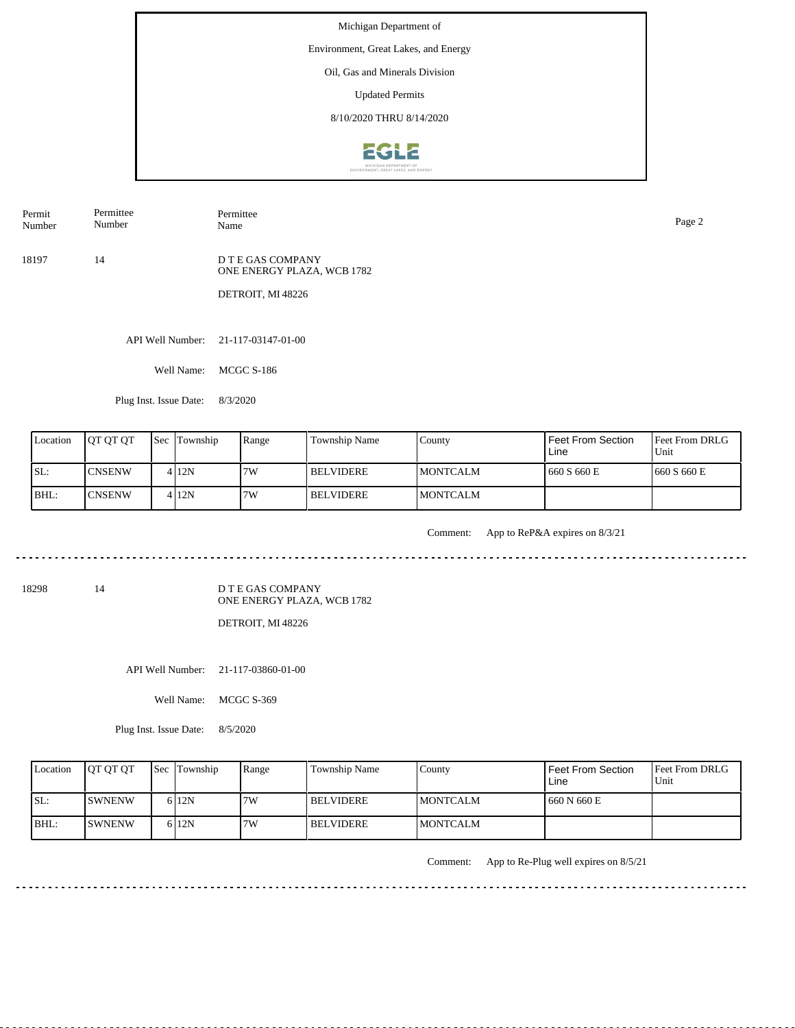Environment, Great Lakes, and Energy

Oil, Gas and Minerals Division

Updated Permits

8/10/2020 THRU 8/14/2020



Permit Number Permittee Name Page 2

18197 14 D T E GAS COMPANY ONE ENERGY PLAZA, WCB 1782

Permittee Number

DETROIT, MI 48226

API Well Number: 21-117-03147-01-00

Well Name: MCGC S-186

Plug Inst. Issue Date: 8/3/2020

| Location | <b>OT OT OT</b> | <b>Sec</b> Township | Range | Township Name    | County           | Feet From Section<br>Line | Feet From DRLG<br>Unit |
|----------|-----------------|---------------------|-------|------------------|------------------|---------------------------|------------------------|
| ISL:     | <b>ICNSENW</b>  | 412N                | 7W    | <b>BELVIDERE</b> | <b>IMONTCALM</b> | 660 S 660 E               | 1660 S 660 E           |
| IBHL:    | <b>ICNSENW</b>  | 412N                | 7W    | <b>BELVIDERE</b> | <b>IMONTCALM</b> |                           |                        |

<u>. . . . . . . . . . .</u>

Comment: App to ReP&A expires on 8/3/21

ت با با با با با با با با

<u> - - - - - - - - - - -</u>

 $\frac{1}{2}$ 

18298 14

D T E GAS COMPANY ONE ENERGY PLAZA, WCB 1782

DETROIT, MI 48226

API Well Number: 21-117-03860-01-00

Well Name: MCGC S-369

Plug Inst. Issue Date: 8/5/2020

| Location | <b>IOT OT OT</b> | <b>Sec Township</b> | Range | Township Name    | County           | l Feet From Section<br>Line | <b>Feet From DRLG</b><br>Unit |
|----------|------------------|---------------------|-------|------------------|------------------|-----------------------------|-------------------------------|
| ISL:     | <b>ISWNENW</b>   | 6 12N               | 7W    | <b>BELVIDERE</b> | <b>IMONTCALM</b> | 1660 N 660 E                |                               |
| IBHL:    | <b>ISWNENW</b>   | 6 12N               | 7W    | <b>BELVIDERE</b> | <b>IMONTCALM</b> |                             |                               |

Comment: App to Re-Plug well expires on 8/5/21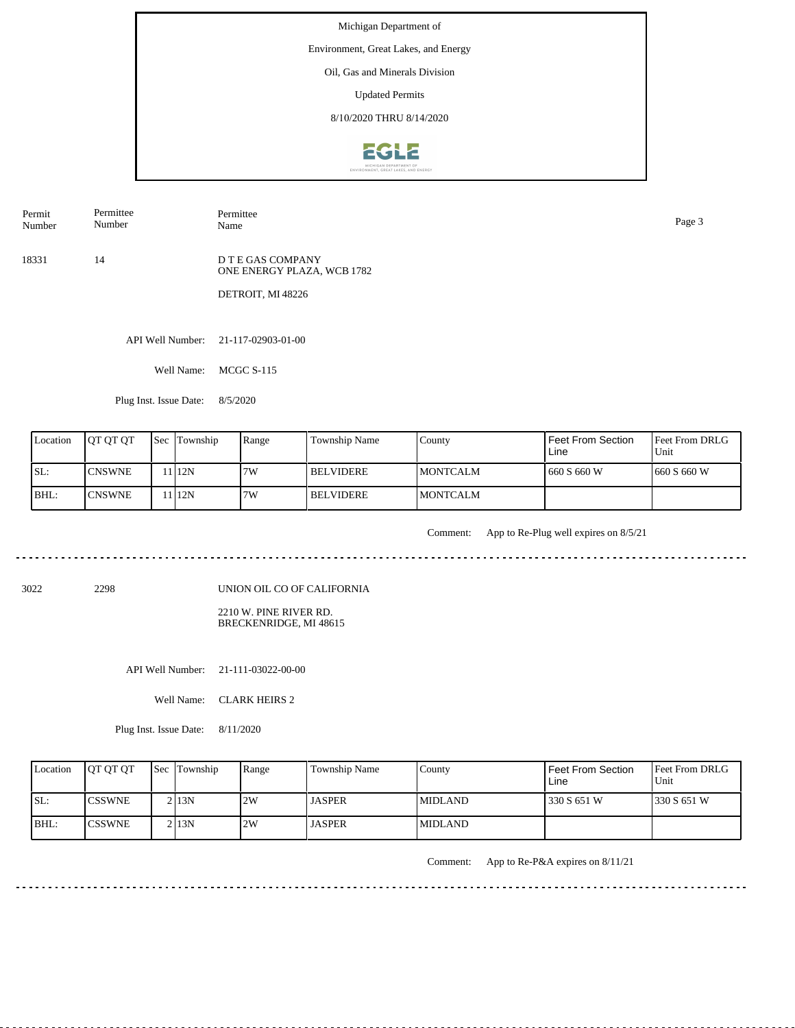Environment, Great Lakes, and Energy

Oil, Gas and Minerals Division

Updated Permits

8/10/2020 THRU 8/14/2020



Permit Number

Permittee Number

Permittee Name Page 3

18331 14

D T E GAS COMPANY ONE ENERGY PLAZA, WCB 1782

DETROIT, MI 48226

API Well Number: 21-117-02903-01-00

Well Name: MCGC S-115

Plug Inst. Issue Date: 8/5/2020

| Location | <b>IOT OT OT</b> | <b>Sec</b> Township | Range | Township Name    | County           | <b>Feet From Section</b><br>Line | <b>Feet From DRLG</b><br>Unit |
|----------|------------------|---------------------|-------|------------------|------------------|----------------------------------|-------------------------------|
| ISL:     | <b>ICNSWNE</b>   | 1112N               | 7W    | <b>BELVIDERE</b> | <b>IMONTCALM</b> | 1660 S 660 W                     | 1660 S 660 W                  |
| BHL:     | <b>ICNSWNE</b>   | 1112N               | 7W    | <b>BELVIDERE</b> | <b>IMONTCALM</b> |                                  |                               |

<u>. . . . . . .</u>

Comment: App to Re-Plug well expires on 8/5/21

. . . . . . . . . . . . . . . . . .

3022 2298

UNION OIL CO OF CALIFORNIA

2210 W. PINE RIVER RD. BRECKENRIDGE, MI 48615

API Well Number: 21-111-03022-00-00

| Location | <b>OT OT OT</b> | <b>Sec Township</b> | Range | Township Name | County          | Feet From Section<br>Line | <b>Feet From DRLG</b><br>Unit |
|----------|-----------------|---------------------|-------|---------------|-----------------|---------------------------|-------------------------------|
| ISL:     | <b>ICSSWNE</b>  | 2 I 13 N            | 2W    | <b>JASPER</b> | MIDLAND.        | 330 S 651 W               | 1330 S 651 W                  |
| BHL:     | <b>ICSSWNE</b>  | 2 I 13 N            | 2W    | <b>JASPER</b> | <b>IMIDLAND</b> |                           |                               |

Comment: App to Re-P&A expires on 8/11/21

. . . . . . . . . . . . . . . . . .

Well Name: CLARK HEIRS 2

Plug Inst. Issue Date: 8/11/2020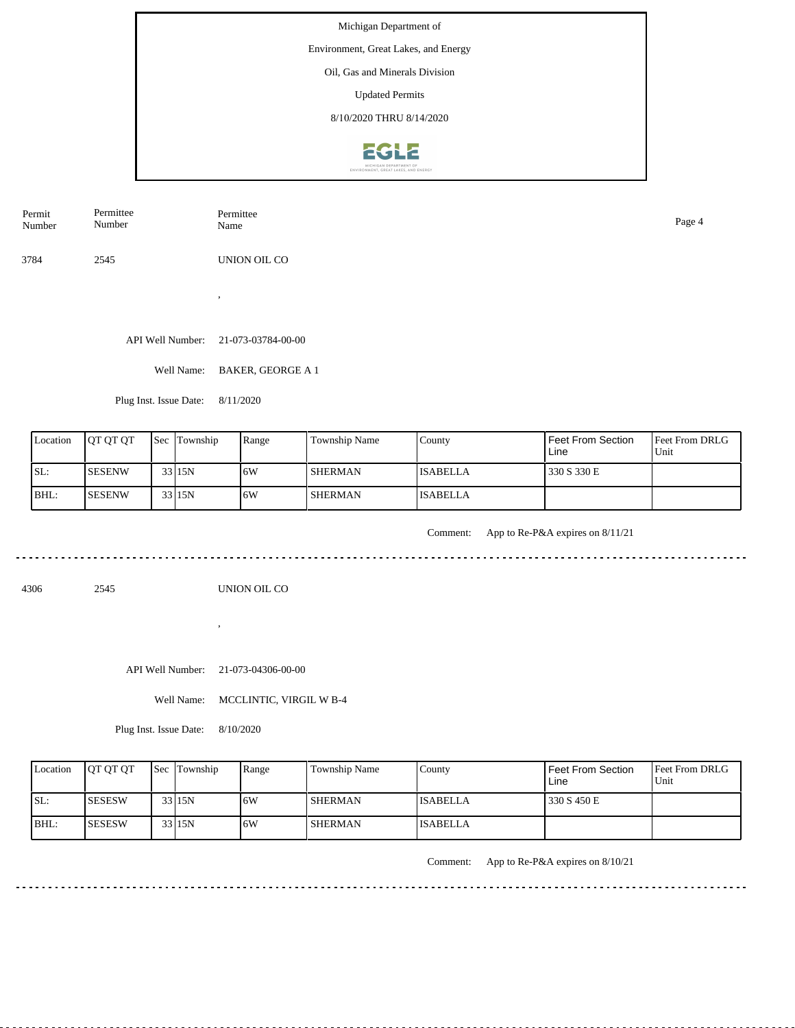Michigan Department of Environment, Great Lakes, and Energy Oil, Gas and Minerals Division Updated Permits 8/10/2020 THRU 8/14/2020**EGLE** 

| Permit | Permittee | Permittee    | Page 4 |
|--------|-----------|--------------|--------|
| Number | Number    | Name         |        |
| 3784   | 2545      | UNION OIL CO |        |

. . . . . . . . . . . . . . . . . . . .

API Well Number: 21-073-03784-00-00

,

Well Name: BAKER, GEORGE A 1

Plug Inst. Issue Date: 8/11/2020

| Location | <b>OT OT OT</b> | <b>Sec Township</b> | Range | Township Name  | County          | Feet From Section<br>Line | <b>Feet From DRLG</b><br>Unit |
|----------|-----------------|---------------------|-------|----------------|-----------------|---------------------------|-------------------------------|
| ISL:     | <b>SESENW</b>   | 33 15N              | 16W   | <b>SHERMAN</b> | <b>ISABELLA</b> | 330 S 330 E               |                               |
| BHL:     | <b>SESENW</b>   | 33 15N              | 16W   | <b>SHERMAN</b> | <b>ISABELLA</b> |                           |                               |

Comment: App to Re-P&A expires on 8/11/21

. . . . . . . . . . . .

4306 2545

UNION OIL CO

API Well Number: 21-073-04306-00-00

,

Well Name: MCCLINTIC, VIRGIL W B-4

Plug Inst. Issue Date: 8/10/2020

| Location | <b>OT OT OT</b> | <b>Sec Township</b> | Range | Township Name  | County          | l Feet From Section<br>Line | <b>Feet From DRLG</b><br>Unit |
|----------|-----------------|---------------------|-------|----------------|-----------------|-----------------------------|-------------------------------|
| SL:      | ISESESW         | 33 15N              | 6W    | <b>SHERMAN</b> | <b>ISABELLA</b> | 330 S 450 E                 |                               |
| IBHL:    | <b>SESESW</b>   | 33 15N              | 6W    | <b>SHERMAN</b> | <b>ISABELLA</b> |                             |                               |

Comment: App to Re-P&A expires on 8/10/21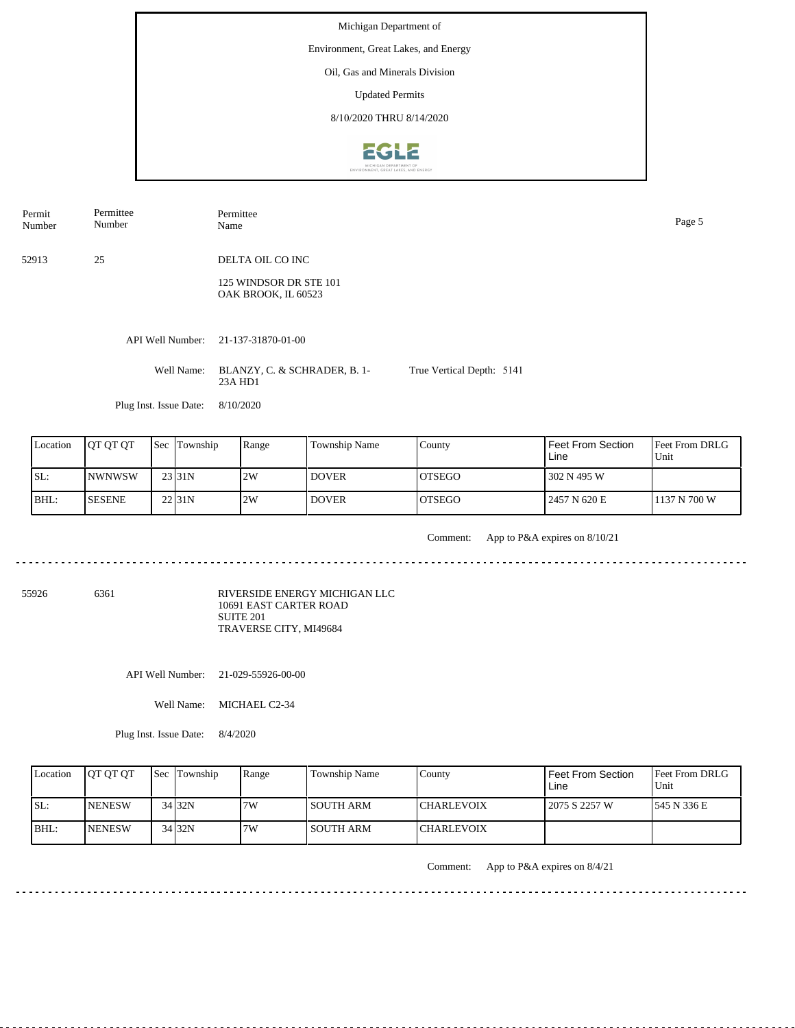Michigan Department of Environment, Great Lakes, and Energy Oil, Gas and Minerals Division Updated Permits 8/10/2020 THRU 8/14/2020**EGLE** 

| Permit<br>Number | Permittee<br>Number    | Permittee<br>Name                             |                           | Page 5 |
|------------------|------------------------|-----------------------------------------------|---------------------------|--------|
| 52913            | 25                     | DELTA OIL CO INC                              |                           |        |
|                  |                        | 125 WINDSOR DR STE 101<br>OAK BROOK, IL 60523 |                           |        |
|                  |                        | API Well Number: 21-137-31870-01-00           |                           |        |
|                  | Well Name:             | BLANZY, C. & SCHRADER, B. 1-<br>23A HD1       | True Vertical Depth: 5141 |        |
|                  | Plug Inst. Issue Date: | 8/10/2020                                     |                           |        |

| Location | <b>JOT OT OT</b> | <b>Sec Township</b> | Range | <b>Township Name</b> | <b>County</b>  | l Feet From Section<br>Line | <b>IFeet From DRLG</b><br>Unit |
|----------|------------------|---------------------|-------|----------------------|----------------|-----------------------------|--------------------------------|
| SL:      | <b>NWNWSW</b>    | 23 <sub>31N</sub>   | 2W    | <b>DOVER</b>         | <b>IOTSEGO</b> | 302 N 495 W                 |                                |
| BHL:     | <b>SESENE</b>    | 22 <sub>131</sub> N | 2W    | <b>DOVER</b>         | <b>IOTSEGO</b> | 2457 N 620 E                | 1137 N 700 W                   |

Comment: App to P&A expires on 8/10/21 

55926 6361

RIVERSIDE ENERGY MICHIGAN LLC 10691 EAST CARTER ROAD SUITE 201 TRAVERSE CITY, MI49684

API Well Number: 21-029-55926-00-00

Well Name: MICHAEL C2-34

Plug Inst. Issue Date: 8/4/2020

<u>. . . . . . . . . .</u>

| Location | <b>JOT OT OT</b> | <b>Sec Township</b> | Range | <b>Township Name</b> | Countv            | <b>Feet From Section</b><br>Line | <b>Feet From DRLG</b><br>Unit |
|----------|------------------|---------------------|-------|----------------------|-------------------|----------------------------------|-------------------------------|
| ISL:     | <b>INENESW</b>   | 34 32N              | 7W    | I SOUTH ARM-         | <b>CHARLEVOIX</b> | 2075 S 2257 W                    | 1545 N 336 E                  |
| BHL:     | <b>INENESW</b>   | 34 32N              | 7W    | l SOUTH ARM          | <b>CHARLEVOIX</b> |                                  |                               |

<u>. . . . . . .</u>

Comment: App to P&A expires on 8/4/21

<u>. . . . . . . . . . . . . . . . .</u>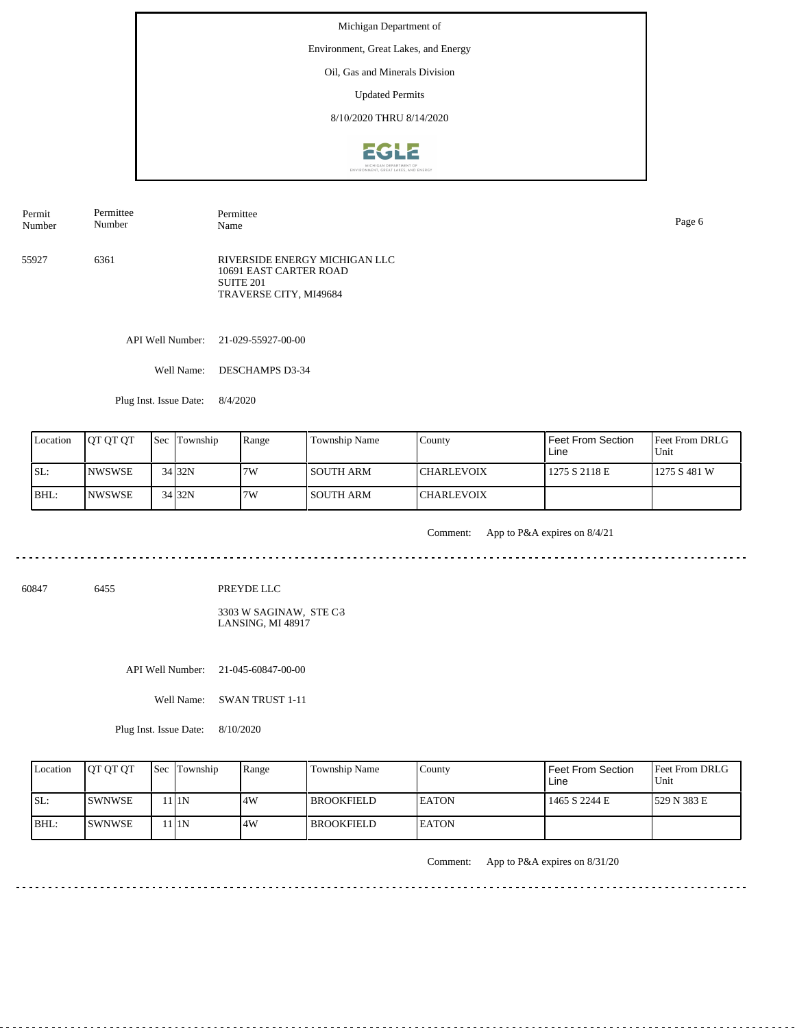Environment, Great Lakes, and Energy

Oil, Gas and Minerals Division

Updated Permits

8/10/2020 THRU 8/14/2020



55927 6361 RIVERSIDE ENERGY MICHIGAN LLC 10691 EAST CARTER ROAD SUITE 201 TRAVERSE CITY, MI49684 Permit Number Permittee Number Permittee Name Page 6

API Well Number: 21-029-55927-00-00

Well Name: DESCHAMPS D3-34

Plug Inst. Issue Date: 8/4/2020

| Location | <b>OT OT OT</b> | <b>Sec</b> Township | Range | Township Name | County            | <b>Feet From Section</b><br>Line | <b>IFeet From DRLG</b><br>Unit |
|----------|-----------------|---------------------|-------|---------------|-------------------|----------------------------------|--------------------------------|
| SL:      | <b>INWSWSE</b>  | 34 32N              | 7W    | SOUTH ARM     | <b>CHARLEVOIX</b> | 1275 S 2118 E                    | 1275 S 481 W                   |
| BHL:     | <b>INWSWSE</b>  | 34 32N              | 7W    | SOUTH ARM     | <b>CHARLEVOIX</b> |                                  |                                |

. . . . . . . . . . .

Comment: App to P&A expires on 8/4/21

<u>. . . . . . . . . . . .</u>

<u>. . . . . . . .</u>

60847 6455

PREYDE LLC

 $3303 \mathrm{~W}$  SAGINAW,  $\mathrm{STE} \mathrm{~C}3$ LANSING, MI 48917

API Well Number: 21-045-60847-00-00

Well Name: SWAN TRUST 1-11

Plug Inst. Issue Date: 8/10/2020

| Location | <b>JOT OT OT</b> | <b>Sec Township</b> | Range | <b>Township Name</b> | Countv        | <b>Feet From Section</b><br>Line | <b>Feet From DRLG</b><br>Unit |
|----------|------------------|---------------------|-------|----------------------|---------------|----------------------------------|-------------------------------|
| SL:      | ISWNWSE          | 1 I 1 N             | .4W   | l BROOKFIELD         | <b>IEATON</b> | 1465 S 2244 E                    | 1529 N 383 E                  |
| BHL:     | ISWNWSE          | 1 1N                | 4W    | l BROOKFIELD.        | <b>IEATON</b> |                                  |                               |

Comment: App to P&A expires on 8/31/20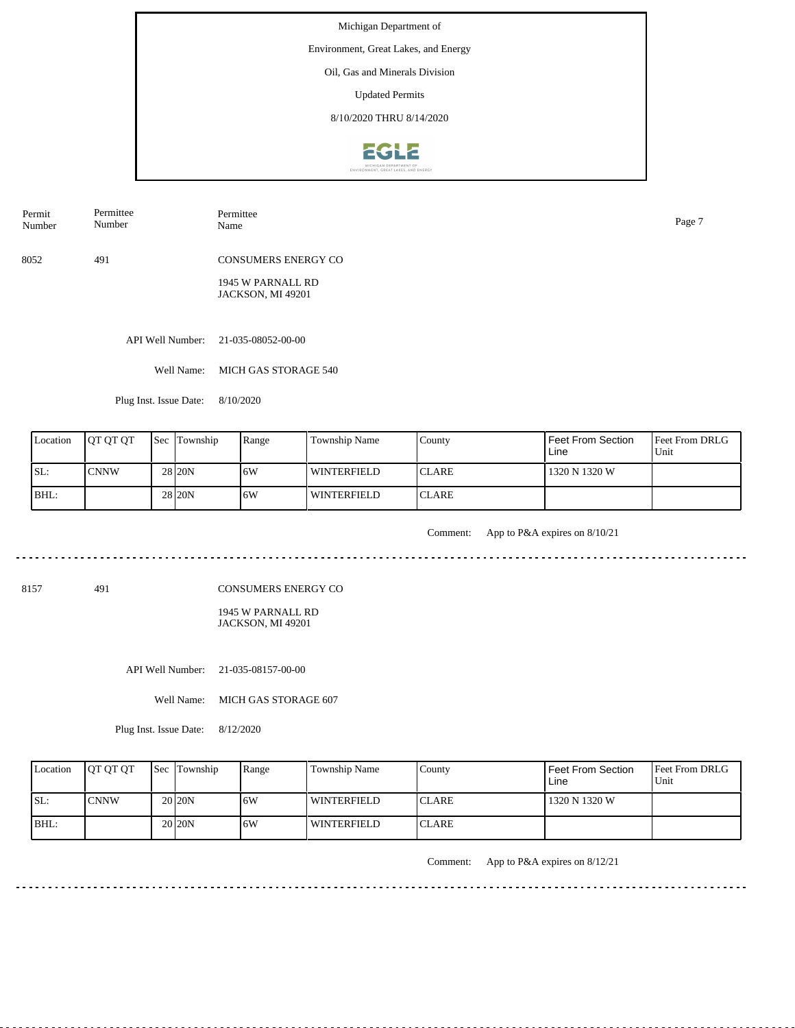Environment, Great Lakes, and Energy

Oil, Gas and Minerals Division

Updated Permits

8/10/2020 THRU 8/14/2020



8052 491 CONSUMERS ENERGY CO Permit Number Permittee Number Permittee Name Page 7

> 1945 W PARNALL RD JACKSON, MI 49201

API Well Number: 21-035-08052-00-00

Well Name: MICH GAS STORAGE 540

Plug Inst. Issue Date: 8/10/2020

| Location | <b>OT OT OT</b> | <b>Sec Township</b> | Range | Township Name | County        | Feet From Section<br>Line | Feet From DRLG<br>Unit |
|----------|-----------------|---------------------|-------|---------------|---------------|---------------------------|------------------------|
| SL:      | ICNNW           | 28 <sub>120</sub> N | 16W   | WINTERFIELD   | <b>ICLARE</b> | 1320 N 1320 W             |                        |
| BHL:     |                 | 28 <sub>20N</sub>   | 16W   | WINTERFIELD   | <b>ICLARE</b> |                           |                        |

<u>. . . . . . . . .</u>

Comment: App to P&A expires on 8/10/21

8157 491

CONSUMERS ENERGY CO

1945 W PARNALL RD JACKSON, MI 49201

API Well Number: 21-035-08157-00-00

Well Name: MICH GAS STORAGE 607

Plug Inst. Issue Date: 8/12/2020

| Location | <b>IOT OT OT</b> | <b>Sec Township</b> | Range | Township Name      | County        | l Feet From Section<br>Line | <b>Feet From DRLG</b><br>Unit |
|----------|------------------|---------------------|-------|--------------------|---------------|-----------------------------|-------------------------------|
| ISL:     | <b>ICNNW</b>     | 20 <sub>120</sub> N | 6W    | <b>WINTERFIELD</b> | <b>ICLARE</b> | 1320 N 1320 W               |                               |
| BHL:     |                  | 20 <sub>120</sub> N | 6W    | WINTERFIELD        | <b>ICLARE</b> |                             |                               |

Comment: App to P&A expires on 8/12/21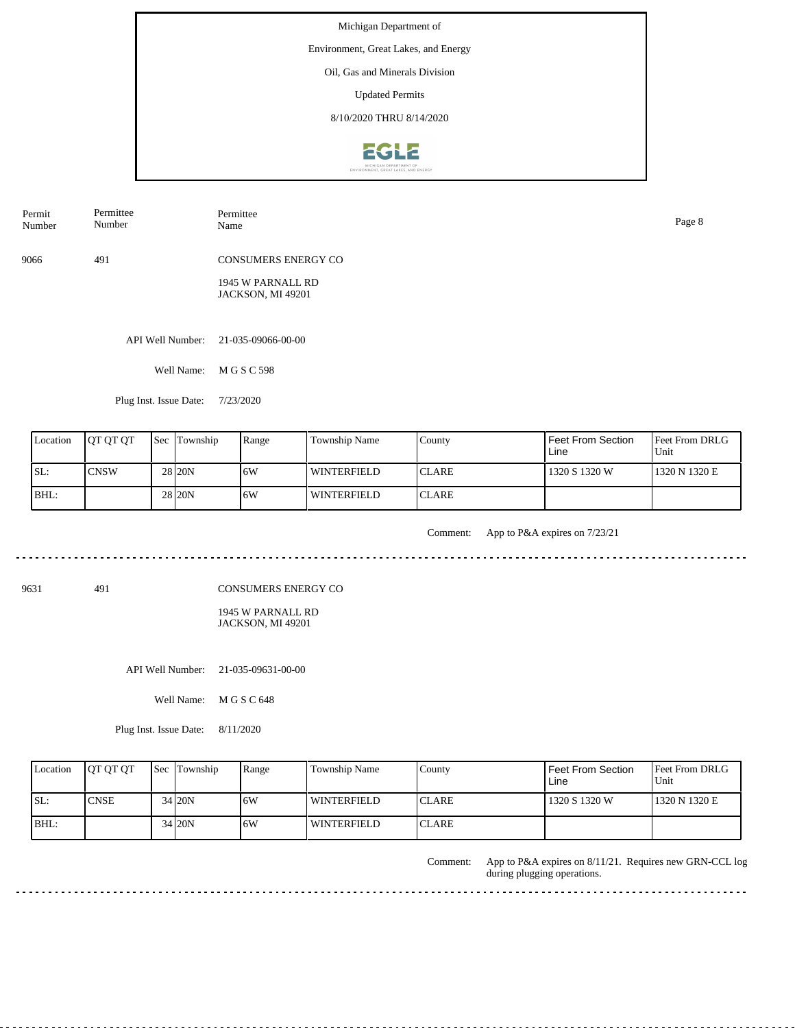Environment, Great Lakes, and Energy

Oil, Gas and Minerals Division

Updated Permits

8/10/2020 THRU 8/14/2020



| Permit<br>Number | Permittee<br>Number | Permittee<br>Name          | Page 8 |
|------------------|---------------------|----------------------------|--------|
| 9066             | 491                 | <b>CONSUMERS ENERGY CO</b> |        |
|                  |                     | $1015$ WIDIDIII DD         |        |

1945 W PARNALL RD JACKSON, MI 49201

API Well Number: 21-035-09066-00-00

Well Name: M G S C 598

Plug Inst. Issue Date: 7/23/2020

| Location | <b>IOT OT OT</b> | <b>Sec</b> Township | Range | Township Name      | County        | Feet From Section<br>Line | <b>Feet From DRLG</b><br>Unit |
|----------|------------------|---------------------|-------|--------------------|---------------|---------------------------|-------------------------------|
| ISL:     | ICNSW            | 28 <sub>120</sub> N | 16W   | WINTERFIELD        | <b>ICLARE</b> | 1320 S 1320 W             | 1320 N 1320 E                 |
| BHL:     |                  | 28 <sub>20N</sub>   | 16W   | <b>WINTERFIELD</b> | <b>ICLARE</b> |                           |                               |

<u>. . . . . . . . . . .</u>

Comment: App to P&A expires on 7/23/21

المالون المالون المالون المالي

9631 491

CONSUMERS ENERGY CO

1945 W PARNALL RD JACKSON, MI 49201

API Well Number: 21-035-09631-00-00

Well Name: M G S C 648

Plug Inst. Issue Date: 8/11/2020

| Location | <b>IOT OT OT</b> | <b>Sec</b> Township | Range | Township Name      | County        | Feet From Section<br>Line | <b>Feet From DRLG</b><br>Unit |
|----------|------------------|---------------------|-------|--------------------|---------------|---------------------------|-------------------------------|
| SL:      | <b>CNSE</b>      | 34 20N              | .6W   | <b>WINTERFIELD</b> | <b>ICLARE</b> | 1320 S 1320 W             | 1320 N 1320 E                 |
| BHL:     |                  | 34 20N              | 6W    | WINTERFIELD        | <b>ICLARE</b> |                           |                               |

App to P&A expires on 8/11/21. Requires new GRN-CCL log during plugging operations. Comment:

 $- - - - -$ 

 $\sim$   $\sim$   $\sim$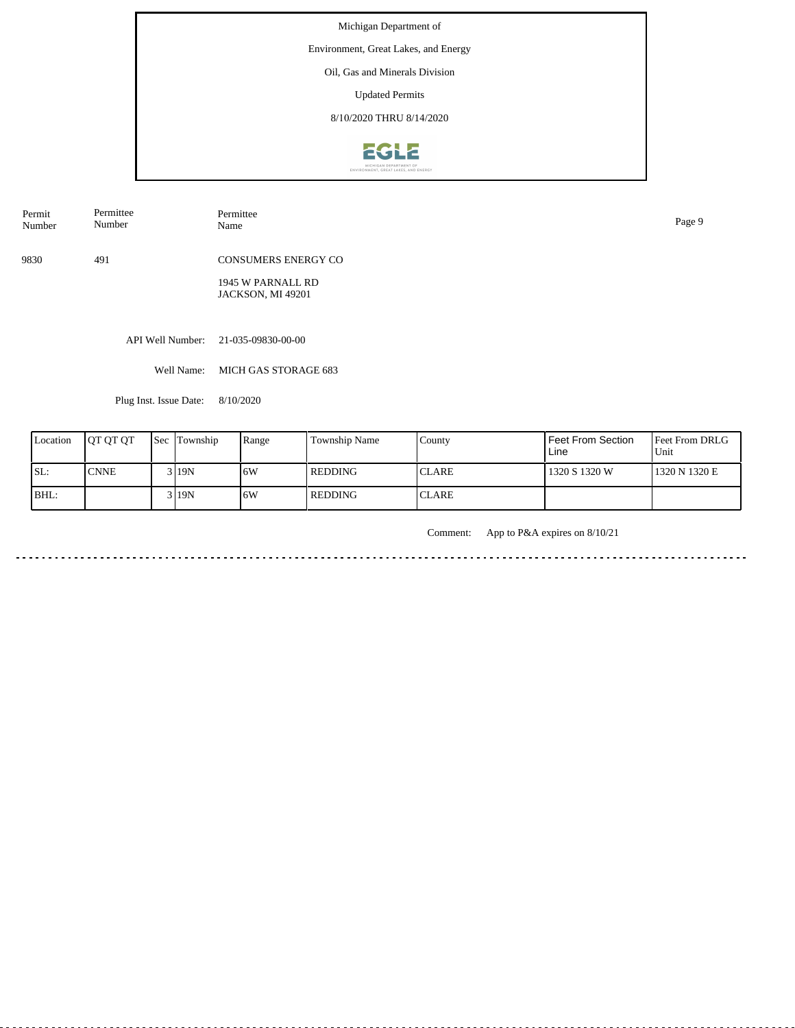Environment, Great Lakes, and Energy

Oil, Gas and Minerals Division

Updated Permits

8/10/2020 THRU 8/14/2020



| Permit | Permittee | Permittee                  | Page 9 |
|--------|-----------|----------------------------|--------|
| Number | Number    | Name                       |        |
| 9830   | 491       | <b>CONSUMERS ENERGY CO</b> |        |

1945 W PARNALL RD JACKSON, MI 49201

API Well Number: 21-035-09830-00-00

Well Name: MICH GAS STORAGE 683

Plug Inst. Issue Date: 8/10/2020

| Location | <b>IOT OT OT</b> | <b>Sec Township</b> | Range | Township Name  | County       | Feet From Section<br>Line | <b>Feet From DRLG</b><br>l Unit |
|----------|------------------|---------------------|-------|----------------|--------------|---------------------------|---------------------------------|
| SL:      | 'CNNE            | 3119N               | ۱6W   | REDDING        | <b>CLARE</b> | 1320 S 1320 W             | 1320 N 1320 E                   |
| BHL:     |                  | 3 I 19 N            | 16W   | <b>REDDING</b> | <b>CLARE</b> |                           |                                 |

Comment: App to P&A expires on 8/10/21

المالون المالون المالون المالي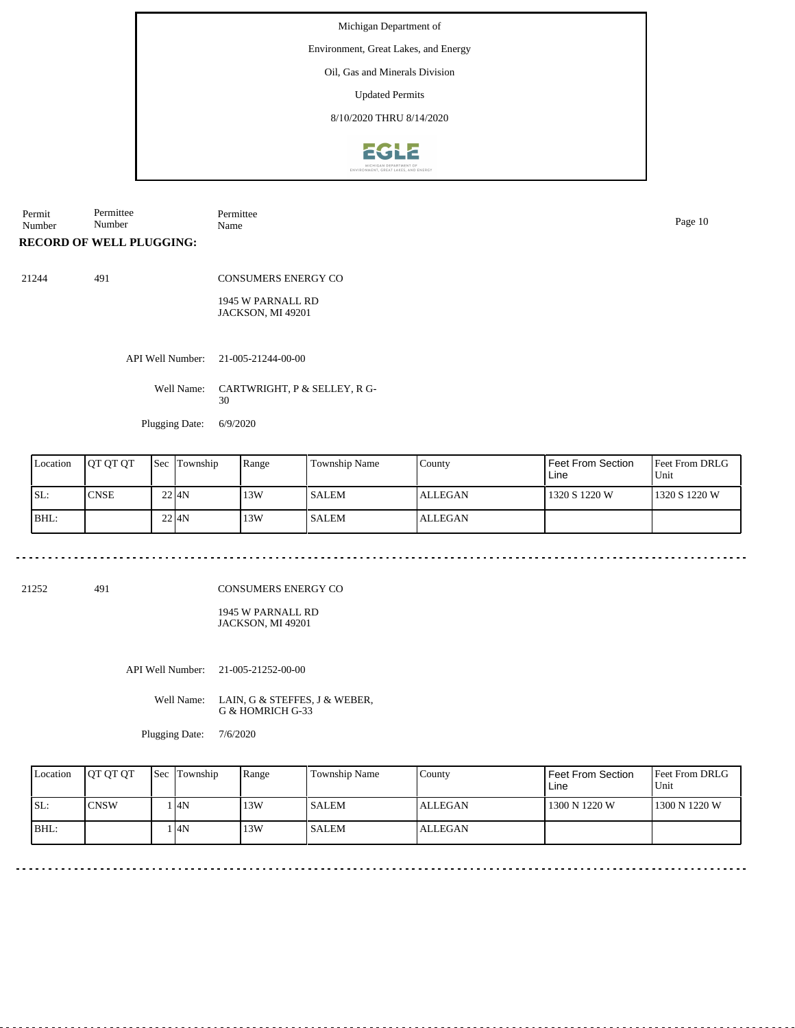Environment, Great Lakes, and Energy

Oil, Gas and Minerals Division

Updated Permits

8/10/2020 THRU 8/14/2020



Permit Number Permittee Number Permittee Name Page 10

**RECORD OF WELL PLUGGING:**

21244 491

CONSUMERS ENERGY CO

1945 W PARNALL RD JACKSON, MI 49201

API Well Number: 21-005-21244-00-00

Well Name: CARTWRIGHT, P & SELLEY, R G-30

Plugging Date: 6/9/2020

| Location | <b>OT OT OT</b> | <b>Sec Township</b> | Range | Township Name | County         | Feet From Section<br>Line | <b>Feet From DRLG</b><br>Unit |
|----------|-----------------|---------------------|-------|---------------|----------------|---------------------------|-------------------------------|
| ISL:     | <b>CNSE</b>     | 2214N               | 13W   | <b>SALEM</b>  | <b>ALLEGAN</b> | 1320 S 1220 W             | 1320 S 1220 W                 |
| BHL:     |                 | $22$ $4N$           | 13W   | <b>SALEM</b>  | <b>ALLEGAN</b> |                           |                               |

21252 491

CONSUMERS ENERGY CO

1945 W PARNALL RD JACKSON, MI 49201

API Well Number: 21-005-21252-00-00

Well Name: LAIN, G & STEFFES, J & WEBER, G & HOMRICH G-33

 $\sim$   $\sim$ 

Plugging Date: 7/6/2020

| Location | <b>OT OT OT</b> | <b>Sec Township</b> | Range | Township Name | County         | Feet From Section<br>Line | <b>Feet From DRLG</b><br>Unit |
|----------|-----------------|---------------------|-------|---------------|----------------|---------------------------|-------------------------------|
| SL:      | <b>CNSW</b>     | 4N                  | 13W   | l SALEM       | <b>ALLEGAN</b> | 1300 N 1220 W             | 1300 N 1220 W                 |
| $IBHL$ : |                 | 4N                  | 13W   | l SALEM       | ALLEGAN        |                           |                               |

<u>. . . . . . . . . . .</u>

<u>. . . . . . . . . . . . . .</u>

. . . . . . . . . . . . . . . . . . .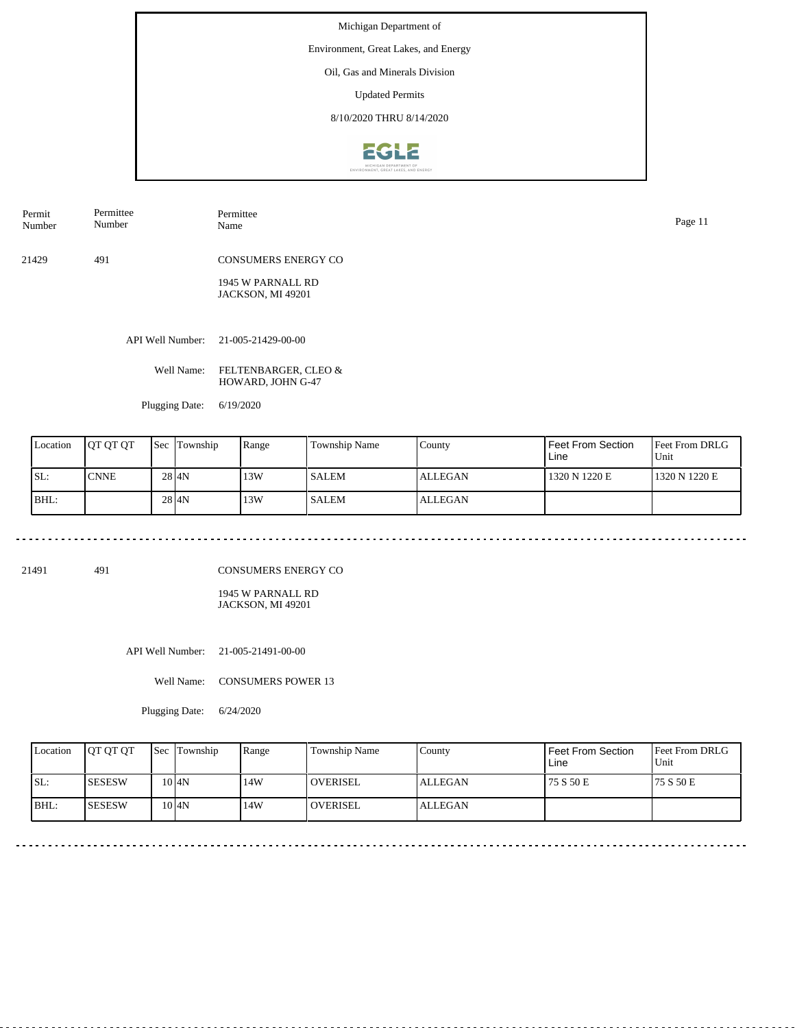Environment, Great Lakes, and Energy

Oil, Gas and Minerals Division

Updated Permits

8/10/2020 THRU 8/14/2020



Permit Number Permittee Number

21429 491 CONSUMERS ENERGY CO

> 1945 W PARNALL RD JACKSON, MI 49201

API Well Number: 21-005-21429-00-00

Well Name: FELTENBARGER, CLEO & HOWARD, JOHN G-47

Permittee

Plugging Date: 6/19/2020

| Location | <b>IOT OT OT</b> | <b>Sec</b> Township | Range | <b>Township Name</b> | County         | Feet From Section<br>Line | <b>Feet From DRLG</b><br>Unit |
|----------|------------------|---------------------|-------|----------------------|----------------|---------------------------|-------------------------------|
| ISL:     | <b>CNNE</b>      | 28 4N               | 13W   | <b>SALEM</b>         | <b>ALLEGAN</b> | 1320 N 1220 E             | 1320 N 1220 E                 |
| BHL:     |                  | 28 4N               | 13W   | <b>SALEM</b>         | <b>ALLEGAN</b> |                           |                               |

21491 491

CONSUMERS ENERGY CO

1945 W PARNALL RD JACKSON, MI 49201

API Well Number: 21-005-21491-00-00

Well Name: CONSUMERS POWER 13

Plugging Date: 6/24/2020

|     | Location | <b>OT OT OT</b> | <b>Sec Township</b> | Range | Township Name   | Countv  | <b>Feet From Section</b><br>Line | <b>Feet From DRLG</b><br>Unit |
|-----|----------|-----------------|---------------------|-------|-----------------|---------|----------------------------------|-------------------------------|
| SL: |          | <b>SESESW</b>   | 10 I4N              | 14W   | <b>OVERISEL</b> | ALLEGAN | 75 S 50 E                        | 175 S 50 E                    |
|     | BHL:     | ISESESW         | 10I4N               | 14W   | <b>OVERISEL</b> | ALLEGAN |                                  |                               |

Name Page 11

--------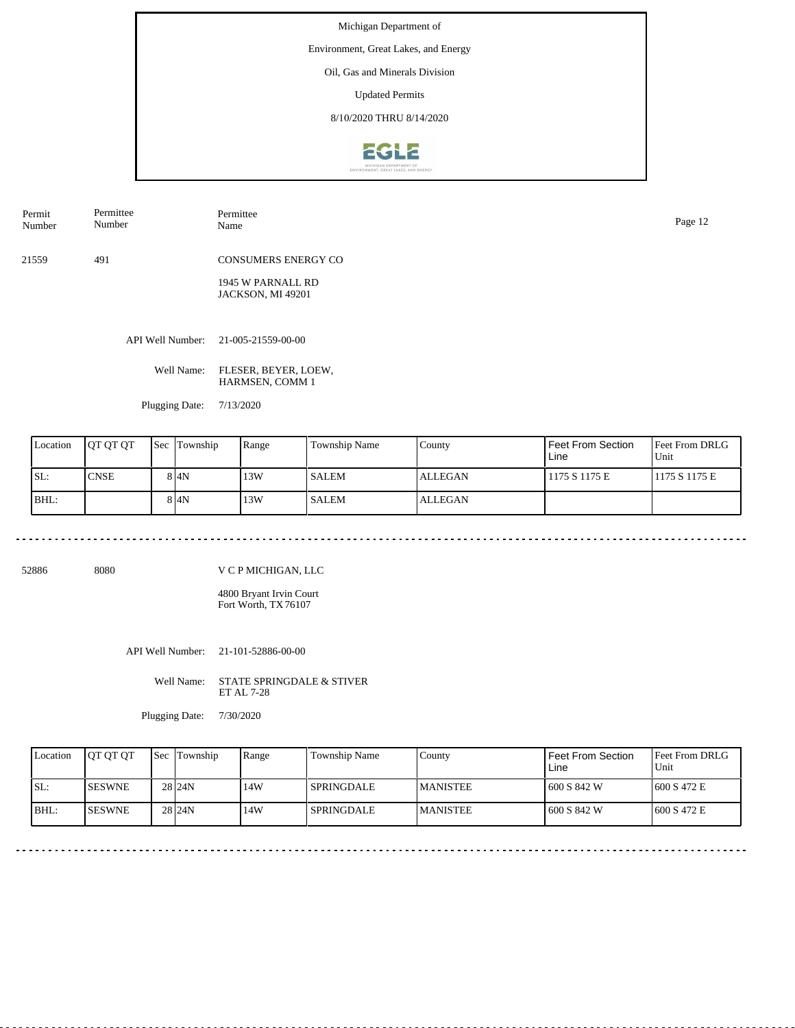Environment, Great Lakes, and Energy

Oil, Gas and Minerals Division

Updated Permits

8/10/2020 THRU 8/14/2020



| Permit | Permittee |
|--------|-----------|
| Number | Number    |
|        |           |

21559 491 CONSUMERS ENERGY CO

> 1945 W PARNALL RD JACKSON, MI 49201

API Well Number: 21-005-21559-00-00

Well Name: FLESER, BEYER, LOEW, HARMSEN, COMM 1

Permittee

Plugging Date: 7/13/2020

| Location | <b>JOT OT OT</b> | <b>Sec</b> Township | Range | <b>Township Name</b> | County         | Feet From Section<br>Line | <b>Feet From DRLG</b><br>Unit |
|----------|------------------|---------------------|-------|----------------------|----------------|---------------------------|-------------------------------|
| SL:      | <b>CNSE</b>      | 8 I4N               | 13W   | <b>SALEM</b>         | <b>ALLEGAN</b> | 1175 S 1175 E             | 1175 S 1175 E                 |
| BHL:     |                  | 8 4N                | 13W   | <b>SALEM</b>         | <b>ALLEGAN</b> |                           |                               |

52886 8080

V C P MICHIGAN, LLC

4800 Bryant Irvin Court Fort Worth, TX 76107

API Well Number: 21-101-52886-00-00

Well Name: STATE SPRINGDALE & STIVER ET AL 7-28

Plugging Date: 7/30/2020

| Location | <b>IOT OT OT</b> | <b>Sec Township</b> | Range | Township Name | County           | Feet From Section<br>Line | <b>IFeet From DRLG</b><br>Unit |
|----------|------------------|---------------------|-------|---------------|------------------|---------------------------|--------------------------------|
| SL:      | <b>ISESWNE</b>   | 28 <sub>124N</sub>  | 14W   | l SPRINGDALE. | <b>IMANISTEE</b> | 1600 S 842 W              | 1600 S 472 E                   |
| IBHL:    | <b>ISESWNE</b>   | 28 <sub>124N</sub>  | 14W   | l SPRINGDALE  | <b>IMANISTEE</b> | 1600 S 842 W              | 1600 S 472 E                   |

Name Page 12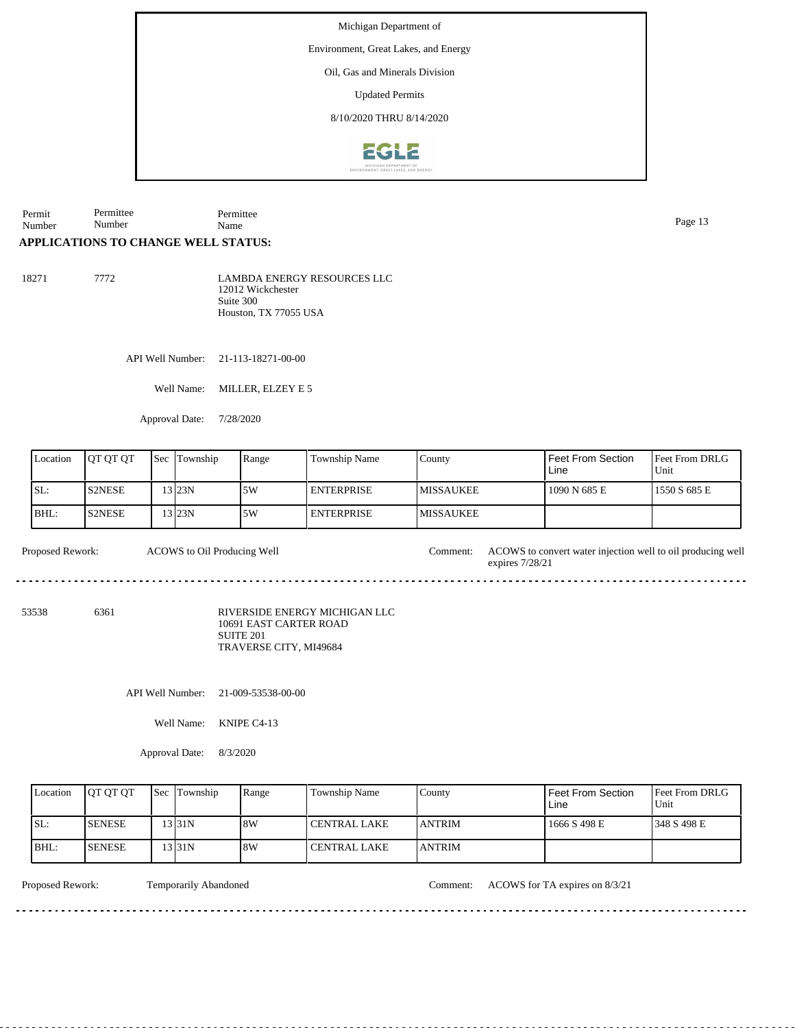Environment, Great Lakes, and Energy

Oil, Gas and Minerals Division

Updated Permits

8/10/2020 THRU 8/14/2020



Permit Number Permittee Number Permittee Page 13<br>Name Page 13

## **APPLICATIONS TO CHANGE WELL STATUS:**

18271 7772 LAMBDA ENERGY RESOURCES LLC 12012 Wickchester Suite 300 Houston, TX 77055 USA

API Well Number: 21-113-18271-00-00

Well Name: MILLER, ELZEY E 5

Approval Date: 7/28/2020

| Location | <b>IOT OT OT</b> | Sec | Township | Range | Township Name     | County            | Feet From Section<br>Line | <b>Feet From DRLG</b><br>Unit |
|----------|------------------|-----|----------|-------|-------------------|-------------------|---------------------------|-------------------------------|
| SL:      | <b>S2NESE</b>    |     | 13 I23N  | 5W    | <b>ENTERPRISE</b> | <b>IMISSAUKEE</b> | 1090 N 685 E              | 1550 S 685 E                  |
| IBHL:    | <b>IS2NESE</b>   |     | 13 I23N  | 5W    | <b>ENTERPRISE</b> | <b>IMISSAUKEE</b> |                           |                               |

Proposed Rework: ACOWS to convert water injection well to oil producing well ACOWS to Oil Producing Well expires 7/28/21 . . . . . . . . . . .

53538 6361

RIVERSIDE ENERGY MICHIGAN LLC 10691 EAST CARTER ROAD SUITE 201 TRAVERSE CITY, MI49684

API Well Number: 21-009-53538-00-00

Well Name: KNIPE C4-13

Approval Date: 8/3/2020

| Location | <b>JOT OT OT</b> | <b>Sec Township</b> | Range | Township Name | County         | Feet From Section<br>Line | <b>Feet From DRLG</b><br>Unit |
|----------|------------------|---------------------|-------|---------------|----------------|---------------------------|-------------------------------|
| ISL:     | <b>SENESE</b>    | 13 I 31 N           | 8W    | CENTRAL LAKE  | <b>LANTRIM</b> | 1666 S 498 E              | 1348 S 498 E                  |
| BHL:     | <b>SENESE</b>    | 13 I 31 N           | 8W    | CENTRAL LAKE  | <b>JANTRIM</b> |                           |                               |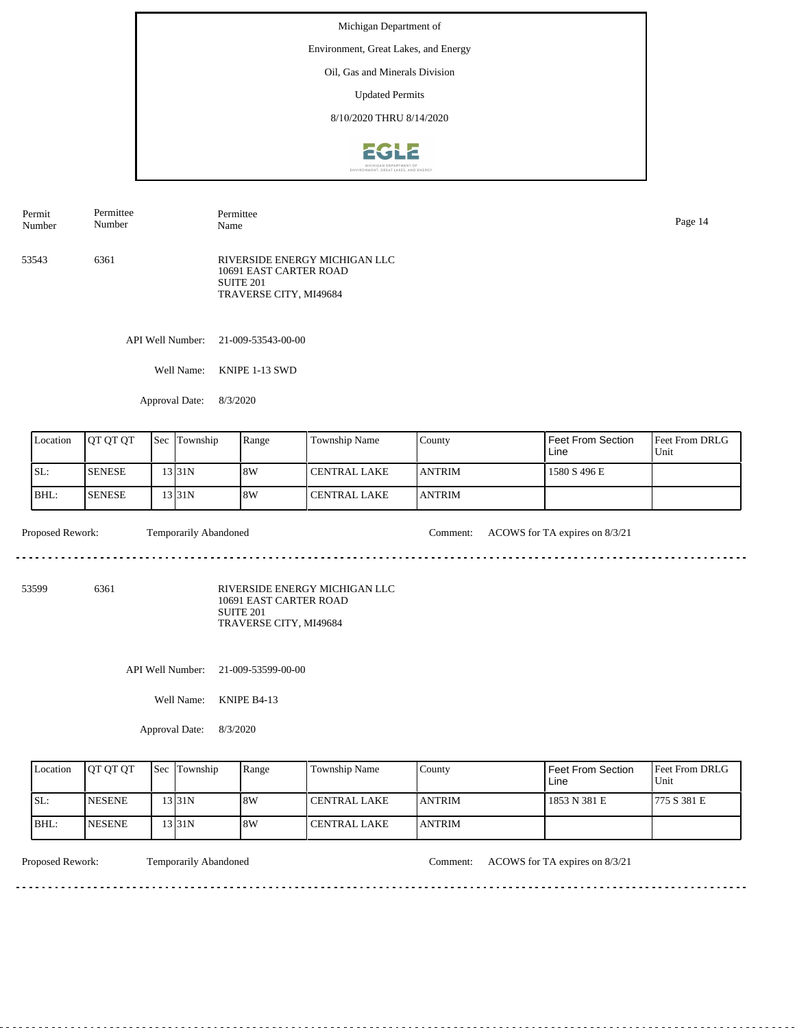Environment, Great Lakes, and Energy

Oil, Gas and Minerals Division

Updated Permits

8/10/2020 THRU 8/14/2020



| Permit<br>Number | Permittee<br>Number | Permittee<br>Name                                                                              | Page 14 |
|------------------|---------------------|------------------------------------------------------------------------------------------------|---------|
| 53543            | 6361                | RIVERSIDE ENERGY MICHIGAN LLC<br>10691 EAST CARTER ROAD<br>SUITE 201<br>TRAVERSE CITY, MI49684 |         |

API Well Number: 21-009-53543-00-00

Well Name: KNIPE 1-13 SWD

Approval Date: 8/3/2020

| Location | <b>IOT OT OT</b> | Sec | Township  | Range | Township Name       | County         | Feet From Section<br>Line | <b>Feet From DRLG</b><br>Unit |
|----------|------------------|-----|-----------|-------|---------------------|----------------|---------------------------|-------------------------------|
| ISL:     | <b>SENESE</b>    |     | 13 I 31 N | 8W    | I CENTRAL LAKE      | <b>JANTRIM</b> | 1580 S 496 E              |                               |
| BHL:     | <b>SENESE</b>    |     | 13 I 31 N | 8W    | <b>CENTRAL LAKE</b> | <b>JANTRIM</b> |                           |                               |

 $- - - - - -$ 

Proposed Rework: Temporarily Abandoned Comment: ACOWS for TA expires on 8/3/21

. . . . . . . . . . . . . . . . . . . .

<u>. . . . . . . . . . . . .</u>

53599 6361

RIVERSIDE ENERGY MICHIGAN LLC 10691 EAST CARTER ROAD SUITE 201 TRAVERSE CITY, MI49684

API Well Number: 21-009-53599-00-00

Well Name: KNIPE B4-13

Approval Date: 8/3/2020

| Location | <b>JOT OT OT</b> | <b>Sec</b> Township | Range | Township Name | County         | Feet From Section<br>Line | <b>Feet From DRLG</b><br>Unit |
|----------|------------------|---------------------|-------|---------------|----------------|---------------------------|-------------------------------|
| ISL:     | <b>INESENE</b>   | 31N                 | 8W    | CENTRAL LAKE  | <b>LANTRIM</b> | 1853 N 381 E              | 1775 S 381 E                  |
| IBHL:    | <b>INESENE</b>   | 3131N               | 8W    | CENTRAL LAKE  | <b>LANTRIM</b> |                           |                               |

<u>. . . . . . . .</u>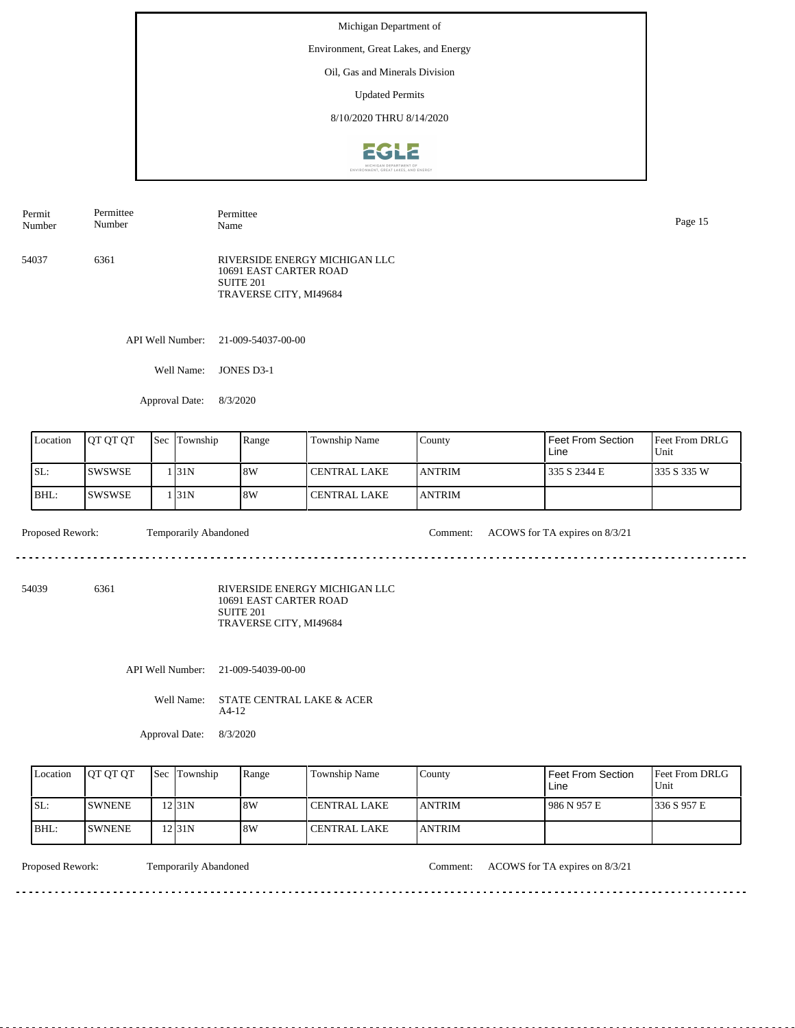Environment, Great Lakes, and Energy

Oil, Gas and Minerals Division

Updated Permits

8/10/2020 THRU 8/14/2020



54037 6361 RIVERSIDE ENERGY MICHIGAN LLC 10691 EAST CARTER ROAD SUITE 201 TRAVERSE CITY, MI49684 Number Number Name Page 15

Permittee

API Well Number: 21-009-54037-00-00

Well Name: JONES D3-1

Approval Date: 8/3/2020

| Location | <b>OT OT OT</b> | <b>Sec</b> | Township | Range | Township Name  | County         | Feet From Section<br>Line | <b>Feet From DRLG</b><br>Unit |
|----------|-----------------|------------|----------|-------|----------------|----------------|---------------------------|-------------------------------|
| SL:      | ISWSWSE         |            | 131N     | 8W    | I CENTRAL LAKE | <b>LANTRIM</b> | 335 S 2344 E              | 1335 S 335 W                  |
| BHL:     | ISWSWSE         |            | 131N     | 8W    | l CENTRAL LAKE | <b>LANTRIM</b> |                           |                               |

Proposed Rework: Temporarily Abandoned Comment: ACOWS for TA expires on 8/3/21

. . . . . . . .

Permittee

54039 6361

Permit

RIVERSIDE ENERGY MICHIGAN LLC 10691 EAST CARTER ROAD SUITE 201 TRAVERSE CITY, MI49684

API Well Number: 21-009-54039-00-00

Well Name: STATE CENTRAL LAKE & ACER A4-12

Approval Date: 8/3/2020

| Location | <b>OT OT OT</b> | <b>Sec Township</b> | Range | <b>Township Name</b> | County         | <b>Feet From Section</b><br>Line | <b>Feet From DRLG</b><br>Unit |
|----------|-----------------|---------------------|-------|----------------------|----------------|----------------------------------|-------------------------------|
| ISL:     | <b>ISWNENE</b>  | $12$  31N           | 8W    | <b>CENTRAL LAKE</b>  | <b>LANTRIM</b> | 986 N 957 E                      | 1336 S 957 E                  |
| BHL:     | <b>ISWNENE</b>  | 12 31 N             | 8W    | CENTRAL LAKE         | <b>ANTRIM</b>  |                                  |                               |

<u>. . . . . . . . . . . . . . . . . . .</u>

Proposed Rework: Temporarily Abandoned Comment: ACOWS for TA expires on 8/3/21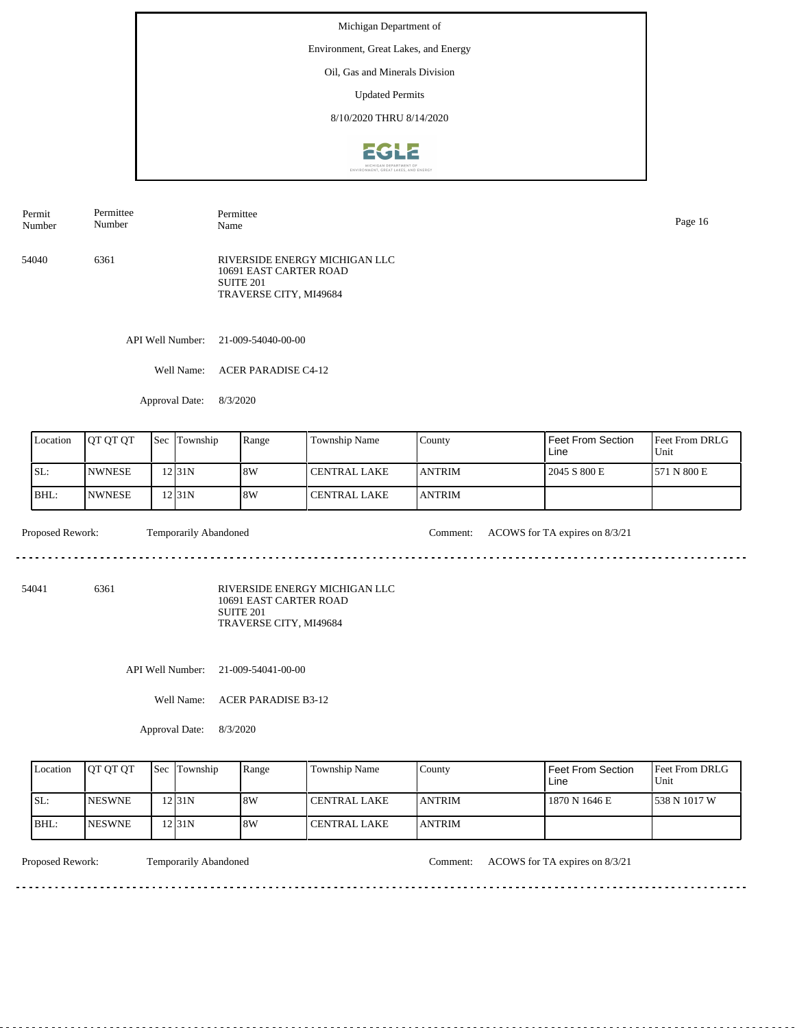Environment, Great Lakes, and Energy

Oil, Gas and Minerals Division

Updated Permits

8/10/2020 THRU 8/14/2020



54040 6361 RIVERSIDE ENERGY MICHIGAN LLC 10691 EAST CARTER ROAD SUITE 201 TRAVERSE CITY, MI49684 Permit Number Permittee Number Permittee Name Page 16

API Well Number: 21-009-54040-00-00

Well Name: ACER PARADISE C4-12

Approval Date: 8/3/2020

| Location | <b>OT OT OT</b> | <b>Sec</b> | Township          | Range | Township Name  | County         | Feet From Section<br>Line | <b>Feet From DRLG</b><br>Unit |
|----------|-----------------|------------|-------------------|-------|----------------|----------------|---------------------------|-------------------------------|
| ISL:     | <b>INWNESE</b>  |            | 12 <sub>31N</sub> | 8W    | l CENTRAL LAKE | <b>IANTRIM</b> | 2045 S 800 E              | 571 N 800 E                   |
| BHL:     | <b>NWNESE</b>   |            | 12 31 N           | 8W    | l CENTRAL LAKE | <b>LANTRIM</b> |                           |                               |

Proposed Rework: Temporarily Abandoned Comment: ACOWS for TA expires on 8/3/21  $\mathcal{L}^{\mathcal{L}}\left( \mathcal{L}^{\mathcal{L}}\left( \mathcal{L}^{\mathcal{L}}\right) \right) =\mathcal{L}^{\mathcal{L}}\left( \mathcal{L}^{\mathcal{L}}\right)$ 

<u>. . . . . . . . . . .</u>

54041 6361

RIVERSIDE ENERGY MICHIGAN LLC 10691 EAST CARTER ROAD SUITE 201 TRAVERSE CITY, MI49684

API Well Number: 21-009-54041-00-00

Well Name: ACER PARADISE B3-12

Approval Date: 8/3/2020

| Location | <b>JOT OT OT</b> | <b>Sec Township</b> | Range | Township Name       | County         | Feet From Section<br>∟ine | <b>Feet From DRLG</b><br>Unit |
|----------|------------------|---------------------|-------|---------------------|----------------|---------------------------|-------------------------------|
| ISL:     | <b>INESWNE</b>   | 12 31 N             | 8W    | l CENTRAL LAKE      | <b>LANTRIM</b> | 1870 N 1646 E             | 1538 N 1017 W                 |
| IBHL:    | <b>INESWNE</b>   | 2131N               | 8W    | <b>CENTRAL LAKE</b> | <b>JANTRIM</b> |                           |                               |

<u>. . . . . . . .</u>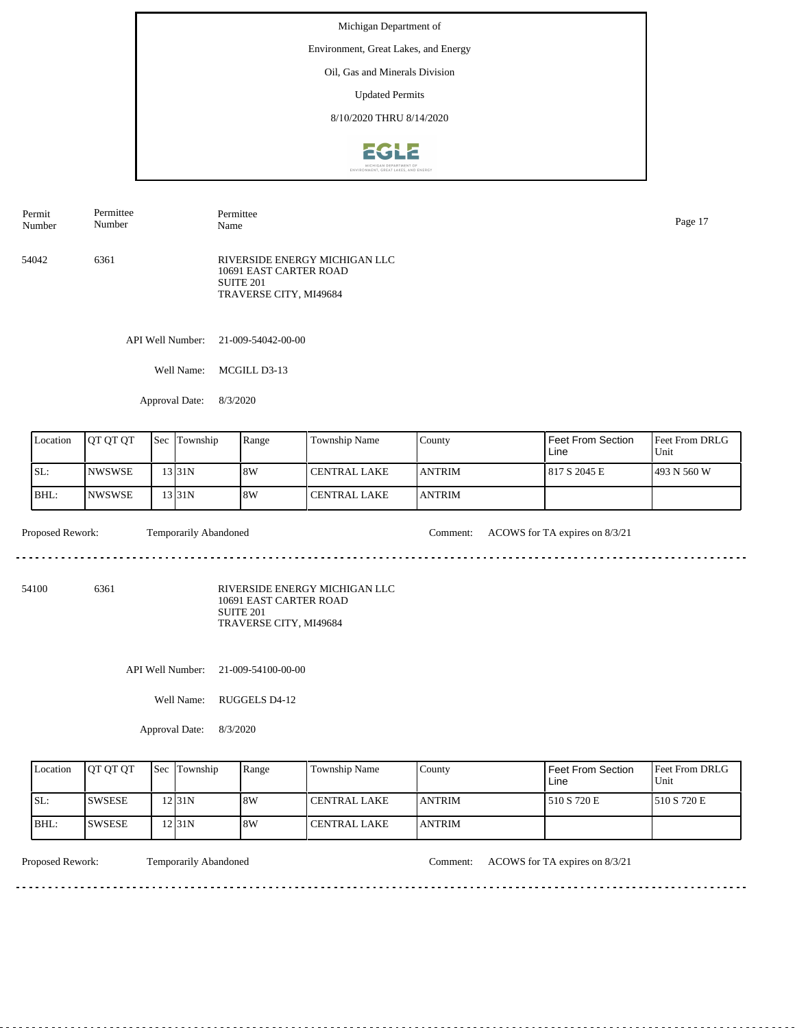Environment, Great Lakes, and Energy

Oil, Gas and Minerals Division

Updated Permits

8/10/2020 THRU 8/14/2020



54042 6361 RIVERSIDE ENERGY MICHIGAN LLC 10691 EAST CARTER ROAD SUITE 201 TRAVERSE CITY, MI49684 Permit Number Permittee Number Permittee Name Page 17

API Well Number: 21-009-54042-00-00

Well Name: MCGILL D3-13

Approval Date: 8/3/2020

| Location | <b>OT OT OT</b> | <b>Sec</b> | Township | Range | Township Name  | County         | Feet From Section<br>Line | <b>Feet From DRLG</b><br>Unit |
|----------|-----------------|------------|----------|-------|----------------|----------------|---------------------------|-------------------------------|
| SL:      | <b>INWSWSE</b>  |            | 13 31 N  | 8W    | I CENTRAL LAKE | <b>LANTRIM</b> | 817 S 2045 E              | 1493 N 560 W                  |
| BHL:     | <b>NWSWSE</b>   |            | 13 31 N  | 8W    | l CENTRAL LAKE | <b>LANTRIM</b> |                           |                               |

Proposed Rework: Temporarily Abandoned Comment: ACOWS for TA expires on 8/3/21 . . . . . . .

<u>. . . . . . . . . . .</u>

54100 6361

RIVERSIDE ENERGY MICHIGAN LLC 10691 EAST CARTER ROAD SUITE 201 TRAVERSE CITY, MI49684

API Well Number: 21-009-54100-00-00

Well Name: RUGGELS D4-12

Approval Date: 8/3/2020

| Location | <b>OT OT OT</b> | <b>Sec Township</b> | Range | Township Name       | County         | Feet From Section<br>Line | <b>Feet From DRLG</b><br>Unit |
|----------|-----------------|---------------------|-------|---------------------|----------------|---------------------------|-------------------------------|
| ISL:     | <b>ISWSESE</b>  | 12 31 N             | 8W    | <b>CENTRAL LAKE</b> | <b>JANTRIM</b> | 510 S 720 E               | 1510 S 720 E                  |
| IBHL:    | <b>ISWSESE</b>  | 12 31 N             | 8W    | <b>CENTRAL LAKE</b> | <b>JANTRIM</b> |                           |                               |

<u>. . . . . . . .</u>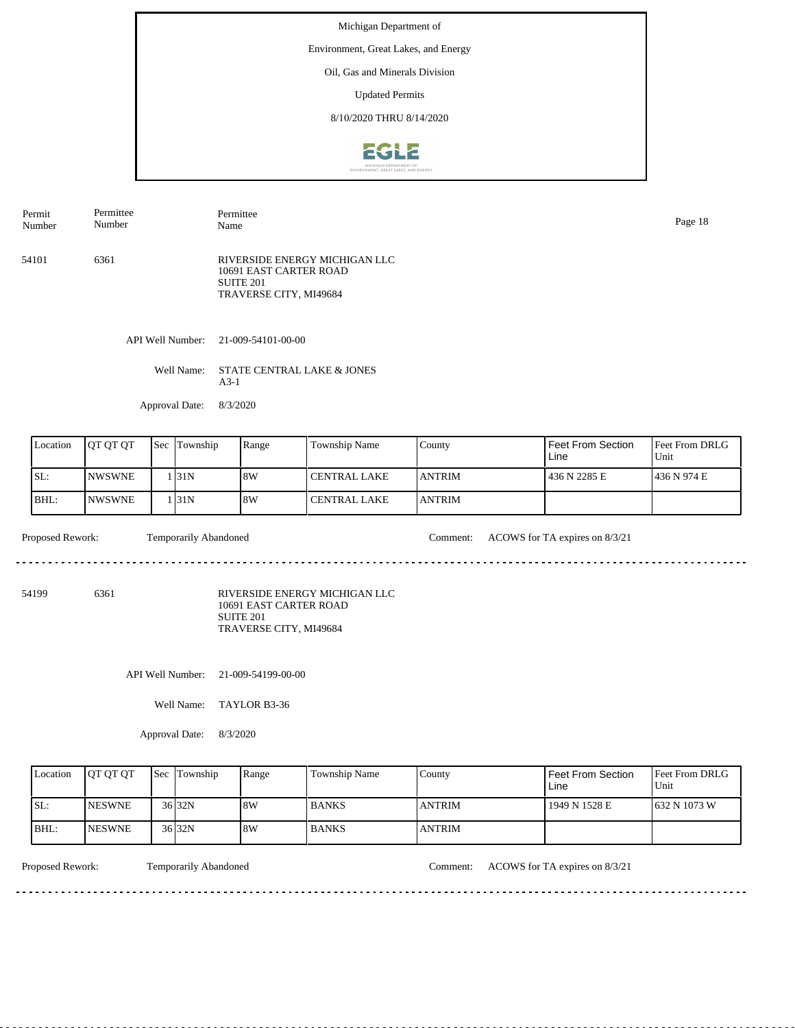Environment, Great Lakes, and Energy

Oil, Gas and Minerals Division

Updated Permits

8/10/2020 THRU 8/14/2020



54101 6361 RIVERSIDE ENERGY MICHIGAN LLC 10691 EAST CARTER ROAD SUITE 201 TRAVERSE CITY, MI49684 Permit Number Permittee Number Permittee Name Page 18

API Well Number: 21-009-54101-00-00

Well Name: STATE CENTRAL LAKE & JONES A3-1

Approval Date: 8/3/2020

| Location | <b>OT OT OT</b> | <b>Sec</b> | Township | Range | Township Name  | County         | Feet From Section<br>Line | <b>Feet From DRLG</b><br>Unit |
|----------|-----------------|------------|----------|-------|----------------|----------------|---------------------------|-------------------------------|
| ISL:     | <b>INWSWNE</b>  |            | 131N     | 8W    | l CENTRAL LAKE | <b>IANTRIM</b> | 436 N 2285 E              | 1436 N 974 E                  |
| BHL:     | <b>NWSWNE</b>   |            | 131N     | 8W    | l CENTRAL LAKE | <b>LANTRIM</b> |                           |                               |

Proposed Rework: Temporarily Abandoned Comment: ACOWS for TA expires on 8/3/21

54199 6361

RIVERSIDE ENERGY MICHIGAN LLC 10691 EAST CARTER ROAD

SUITE 201 TRAVERSE CITY, MI49684

API Well Number: 21-009-54199-00-00

Well Name: TAYLOR B3-36

Approval Date: 8/3/2020

| Location | <b>IOT OT OT</b> | <b>Sec</b> Township | Range | Township Name | County         | <b>Feet From Section</b><br>Line | <b>Feet From DRLG</b><br>Unit |
|----------|------------------|---------------------|-------|---------------|----------------|----------------------------------|-------------------------------|
| ISL:     | <b>INESWNE</b>   | $36$ 32N            | 8W    | <b>BANKS</b>  | <b>ANTRIM</b>  | 1949 N 1528 E                    | 1632 N 1073 W                 |
| BHL:     | <b>INESWNE</b>   | $36$ 32N            | 18W   | <b>BANKS</b>  | <b>LANTRIM</b> |                                  |                               |

<u>. . . . . . . . . . . . . . . . .</u>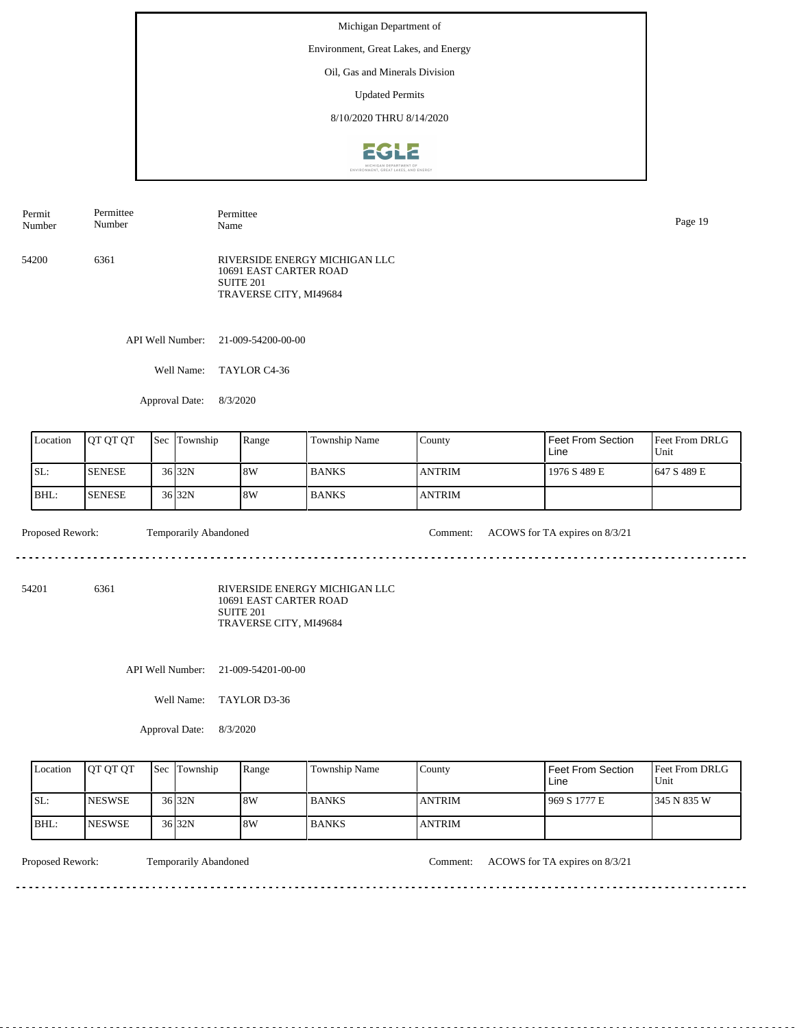Environment, Great Lakes, and Energy

Oil, Gas and Minerals Division

Updated Permits

8/10/2020 THRU 8/14/2020



| Permit<br>Number | Permittee<br>Number | Permittee<br>Name                                                                              | Page 19 |
|------------------|---------------------|------------------------------------------------------------------------------------------------|---------|
| 54200            | 6361                | RIVERSIDE ENERGY MICHIGAN LLC<br>10691 EAST CARTER ROAD<br>SUITE 201<br>TRAVERSE CITY, MI49684 |         |

API Well Number: 21-009-54200-00-00

Well Name: TAYLOR C4-36

Approval Date: 8/3/2020

| Location | <b>OT OT OT</b> | <b>Sec Township</b> | Range | Township Name | County        | Feet From Section<br>Line | <b>Feet From DRLG</b><br>Unit |
|----------|-----------------|---------------------|-------|---------------|---------------|---------------------------|-------------------------------|
| ISL:     | <b>SENESE</b>   | 36 32N              | 8W    | <b>BANKS</b>  | <b>ANTRIM</b> | 1976 S 489 E              | 1647 S 489 E                  |
| BHL:     | <b>SENESE</b>   | $36$ 32N            | 8W    | <b>BANKS</b>  | <b>ANTRIM</b> |                           |                               |

diama diama

Proposed Rework: Temporarily Abandoned Comment: ACOWS for TA expires on 8/3/21

<u>. . . . . . . . . . . . . . . . .</u>

54201 6361

RIVERSIDE ENERGY MICHIGAN LLC 10691 EAST CARTER ROAD SUITE 201 TRAVERSE CITY, MI49684

API Well Number: 21-009-54201-00-00

Well Name: TAYLOR D3-36

Approval Date: 8/3/2020

| Location | <b>IOT OT OT</b> | <b>Sec Township</b> | Range | <b>Township Name</b> | County         | Feet From Section<br>∟ine | <b>Feet From DRLG</b><br>Unit |
|----------|------------------|---------------------|-------|----------------------|----------------|---------------------------|-------------------------------|
| ISL:     | <b>INESWSE</b>   | 36 32N              | 8W    | <b>BANKS</b>         | <b>ANTRIM</b>  | 969 S 1777 E              | 1345 N 835 W                  |
| $IBHL$ : | <b>INESWSE</b>   | 36 32N              | 8W    | <b>BANKS</b>         | <b>LANTRIM</b> |                           |                               |

<u>. . . . . . . . .</u>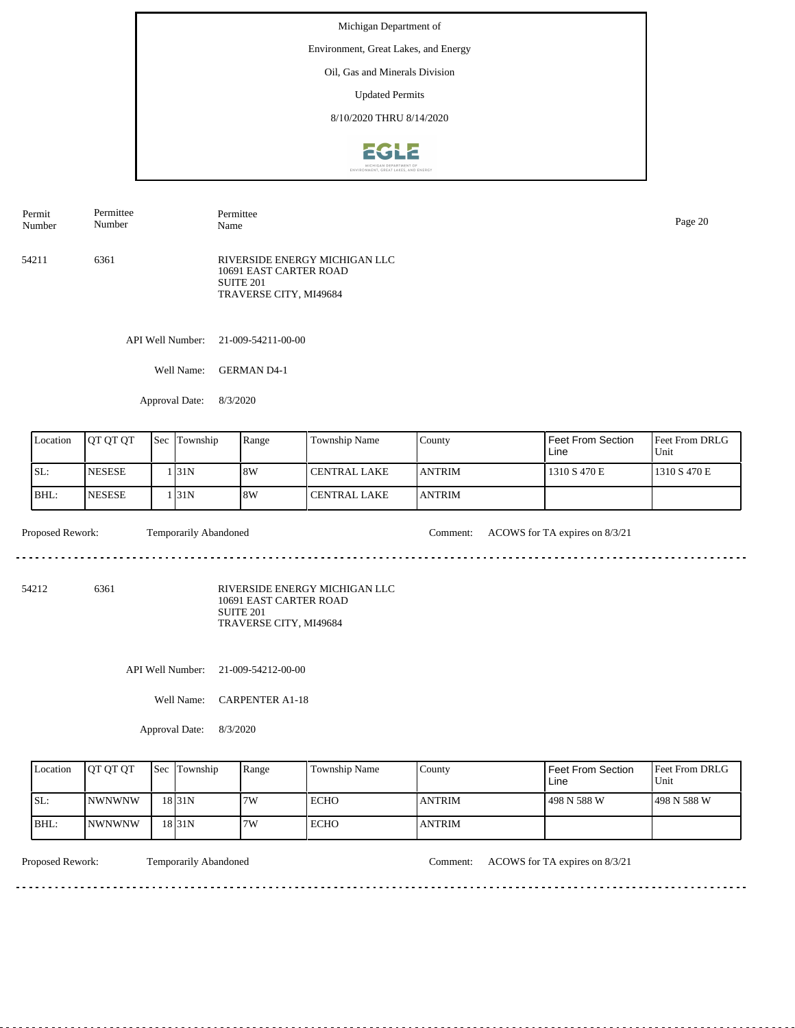Environment, Great Lakes, and Energy

Oil, Gas and Minerals Division

Updated Permits

8/10/2020 THRU 8/14/2020



| Permit<br>Number | Permittee<br>Number | Permittee<br>Name                                                                              | Page 20 |
|------------------|---------------------|------------------------------------------------------------------------------------------------|---------|
| 54211            | 6361                | RIVERSIDE ENERGY MICHIGAN LLC<br>10691 EAST CARTER ROAD<br>SUITE 201<br>TRAVERSE CITY, MI49684 |         |

API Well Number: 21-009-54211-00-00

Well Name: GERMAN D4-1

Approval Date: 8/3/2020

| Location | <b>OT OT OT</b> | Sec | Township | Range | Township Name         | County         | <b>Feet From Section</b><br>Line | <b>Feet From DRLG</b><br>Unit |
|----------|-----------------|-----|----------|-------|-----------------------|----------------|----------------------------------|-------------------------------|
| ISL:     | <b>INESESE</b>  |     | 131N     | 8W    | <b>I CENTRAL LAKE</b> | <b>LANTRIM</b> | 1310 S 470 E                     | 1310 S 470 E                  |
| IBHL:    | <b>INESESE</b>  |     | 131N     | 8W    | l CENTRAL LAKE        | <b>JANTRIM</b> |                                  |                               |

Proposed Rework: Temporarily Abandoned Comment: ACOWS for TA expires on 8/3/21  $- - - - - -$ 

. . . . . . . . . . . . . . . . . . . .

<u>. . . . . . . . . . . . .</u>

54212 6361

RIVERSIDE ENERGY MICHIGAN LLC 10691 EAST CARTER ROAD SUITE 201 TRAVERSE CITY, MI49684

API Well Number: 21-009-54212-00-00

Well Name: CARPENTER A1-18

Approval Date: 8/3/2020

| Location | <b>OT OT OT</b> | <b>Sec</b> Township | Range | Township Name | County         | Feet From Section<br>Line | <b>Feet From DRLG</b><br>Unit |
|----------|-----------------|---------------------|-------|---------------|----------------|---------------------------|-------------------------------|
| ISL:     | <b>INWNWNW</b>  | $18$ <sub>31N</sub> | 7W    | ECHO          | <b>LANTRIM</b> | 498 N 588 W               | 1498 N 588 W                  |
| BHL:     | <b>INWNWNW</b>  | $18$ <sub>31N</sub> | 7W    | <b>ECHO</b>   | <b>ANTRIM</b>  |                           |                               |

. . . . . . . .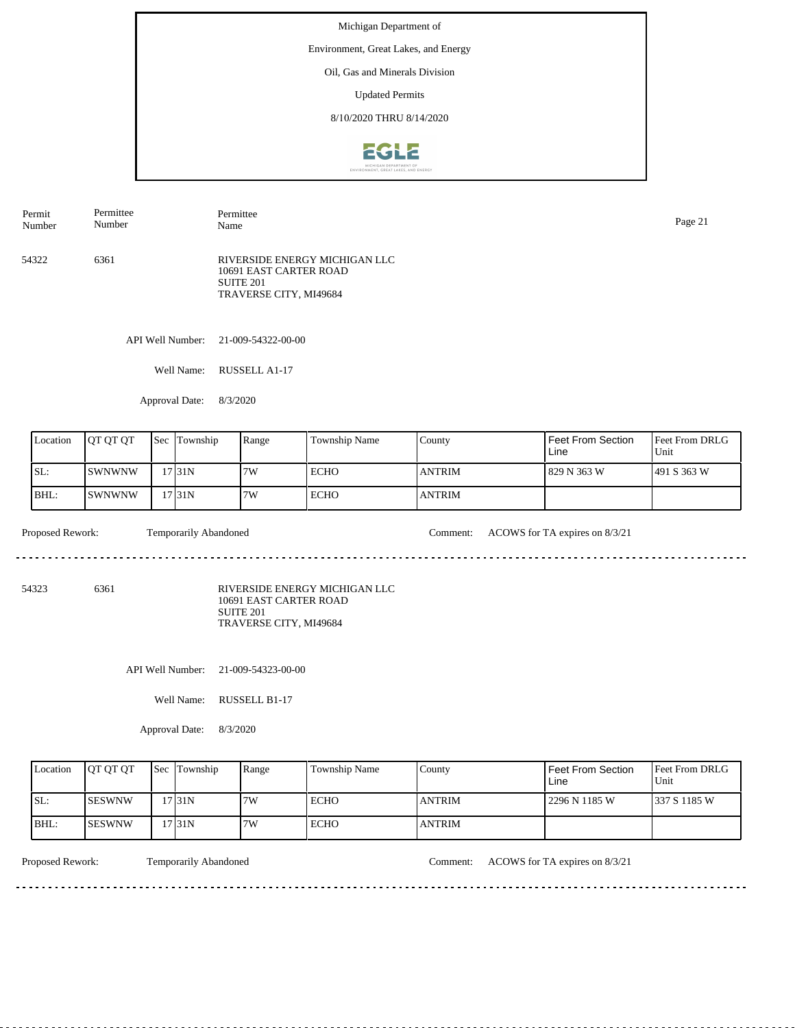Environment, Great Lakes, and Energy

Oil, Gas and Minerals Division

Updated Permits

8/10/2020 THRU 8/14/2020



| Permit | Permittee | Permittee                                                                                      | Page 21 |
|--------|-----------|------------------------------------------------------------------------------------------------|---------|
| Number | Number    | Name                                                                                           |         |
| 54322  | 6361      | RIVERSIDE ENERGY MICHIGAN LLC<br>10691 EAST CARTER ROAD<br>SUITE 201<br>TRAVERSE CITY, MI49684 |         |

API Well Number: 21-009-54322-00-00

Well Name: RUSSELL A1-17

Approval Date: 8/3/2020

| Location | <b>IOT OT OT</b> | <b>Sec</b> Township | Range | Township Name | County         | Feet From Section<br>Line | <b>Feet From DRLG</b><br>Unit |
|----------|------------------|---------------------|-------|---------------|----------------|---------------------------|-------------------------------|
| ISL:     | ISWNWNW          | 17 I 31 N           | 17W   | <b>ECHO</b>   | <b>LANTRIM</b> | 829 N 363 W               | 1491 S 363 W                  |
| BHL:     | ISWNWNW          | 17 31 N             | 17W   | ECHO          | <b>ANTRIM</b>  |                           |                               |

 $\mathcal{L}^{\mathcal{L}}\left( \mathcal{L}^{\mathcal{L}}\left( \mathcal{L}^{\mathcal{L}}\right) \right) =\mathcal{L}^{\mathcal{L}}\left( \mathcal{L}^{\mathcal{L}}\right)$ 

Proposed Rework: Temporarily Abandoned Comment: ACOWS for TA expires on 8/3/21

<u>. . . . . . . . . . . . . . . . .</u>

54323 6361

RIVERSIDE ENERGY MICHIGAN LLC 10691 EAST CARTER ROAD SUITE 201 TRAVERSE CITY, MI49684

API Well Number: 21-009-54323-00-00

Well Name: RUSSELL B1-17

Approval Date: 8/3/2020

| Location | <b>OT OT OT</b> | <b>Sec</b> Township | Range | Township Name | County         | Feet From Section<br>Line | <b>Feet From DRLG</b><br>Unit |
|----------|-----------------|---------------------|-------|---------------|----------------|---------------------------|-------------------------------|
| ISL:     | <b>ISESWNW</b>  | 731N                | 7W    | ECHO          | <b>LANTRIM</b> | 2296 N 1185 W             | 1337 S 1185 W                 |
| IBHL:    | <b>ISESWNW</b>  | 17 31 N             | 7W    | <b>ECHO</b>   | <b>ANTRIM</b>  |                           |                               |

<u>. . . . . . . .</u>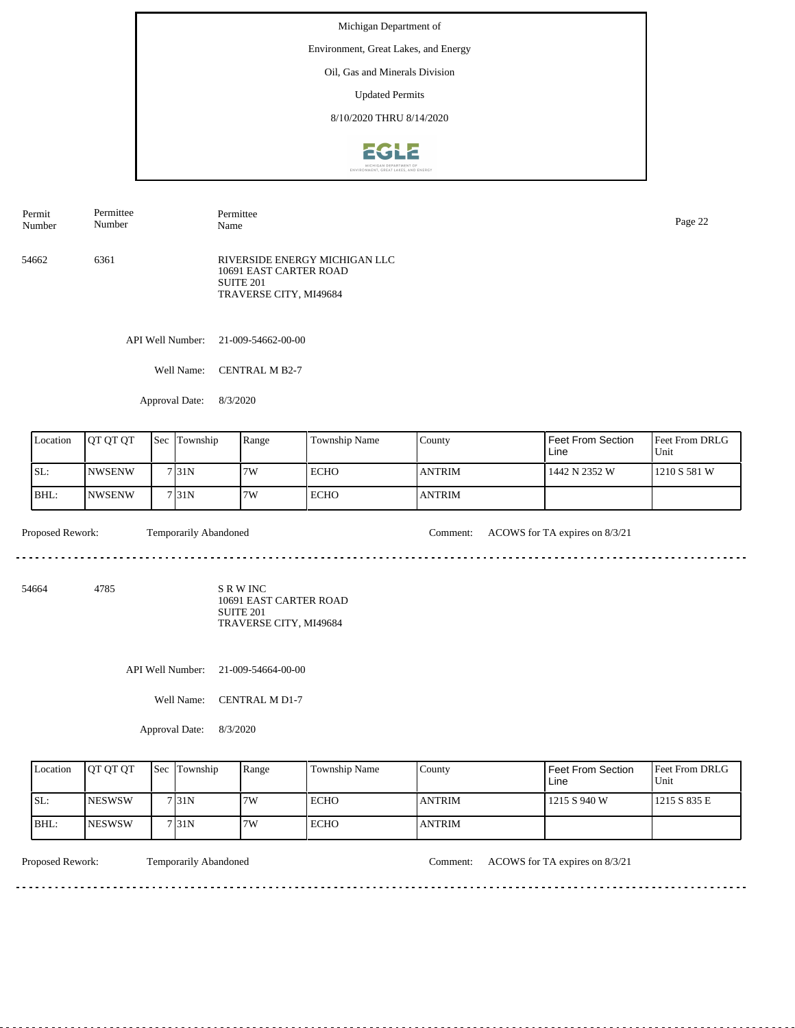Environment, Great Lakes, and Energy

Oil, Gas and Minerals Division

Updated Permits

8/10/2020 THRU 8/14/2020



54662 6361 RIVERSIDE ENERGY MICHIGAN LLC 10691 EAST CARTER ROAD SUITE 201 TRAVERSE CITY, MI49684 Permit Number Permittee Number Permittee Page 22<br>Name Page 22

API Well Number: 21-009-54662-00-00

Well Name: CENTRAL M B2-7

Approval Date: 8/3/2020

| Location | <b>IOT OT OT</b> | <b>Sec</b> | Township | Range | <b>Township Name</b> | County        | Feet From Section<br>Line | <b>Feet From DRLG</b><br>Unit |
|----------|------------------|------------|----------|-------|----------------------|---------------|---------------------------|-------------------------------|
| ISL:     | <b>INWSENW</b>   |            | 7131N    | 7W    | <b>ECHO</b>          | <b>ANTRIM</b> | 1442 N 2352 W             | 1210 S 581 W                  |
| BHL:     | <b>INWSENW</b>   |            | 7131N    | 7W    | ECHO                 | <b>ANTRIM</b> |                           |                               |

 $\omega_{\rm c} = \omega_{\rm c} = \omega_{\rm c} = \omega_{\rm c}$ 

Proposed Rework: Temporarily Abandoned Comment: ACOWS for TA expires on 8/3/21

54664 4785

S R W INC 10691 EAST CARTER ROAD SUITE 201 TRAVERSE CITY, MI49684

API Well Number: 21-009-54664-00-00

Well Name: CENTRAL M D1-7

Approval Date: 8/3/2020

| Location | <b>IOT OT OT</b> | <b>Sec Township</b> | Range | <b>Township Name</b> | County         | Feet From Section<br>∟ine | <b>Feet From DRLG</b><br>Unit |
|----------|------------------|---------------------|-------|----------------------|----------------|---------------------------|-------------------------------|
| ISL:     | <b>INESWSW</b>   | 7131N               | 7W    | ECHO                 | <b>ANTRIM</b>  | 1215 S 940 W              | 1215 S 835 E                  |
| IBHL:    | <b>INESWSW</b>   | 7131N               | 7W    | ECHO                 | <b>LANTRIM</b> |                           |                               |

<u>. . . . . . . .</u>

Proposed Rework: Temporarily Abandoned Comment: ACOWS for TA expires on 8/3/21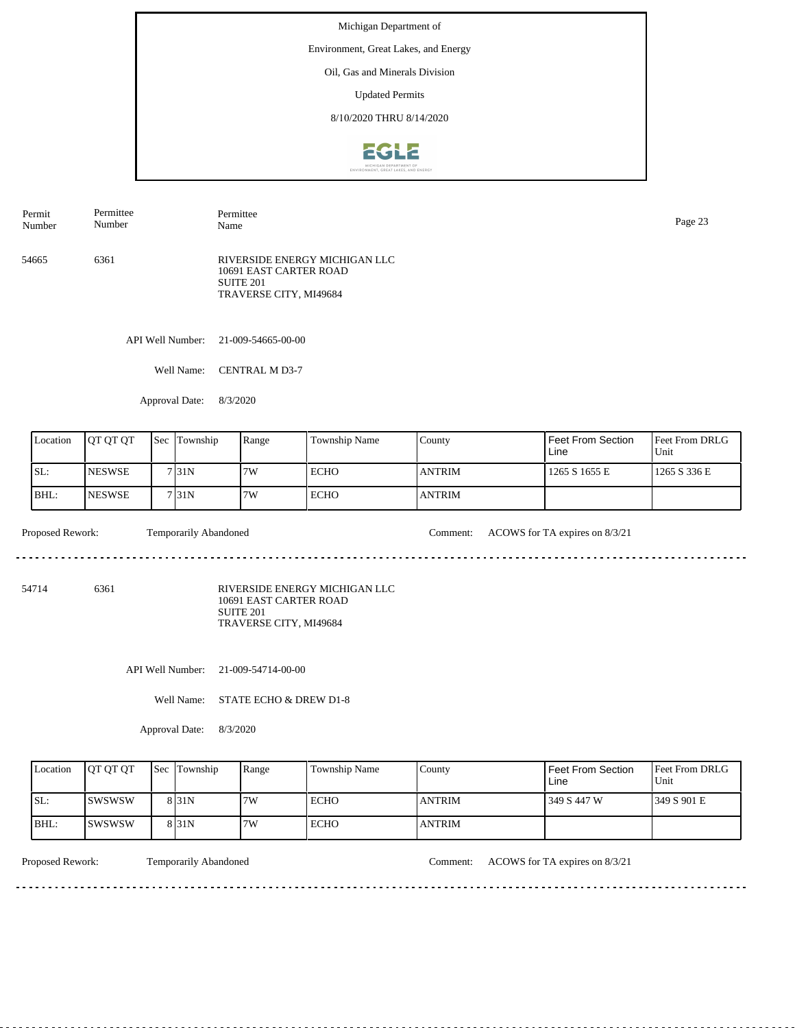Environment, Great Lakes, and Energy

Oil, Gas and Minerals Division

Updated Permits

8/10/2020 THRU 8/14/2020



| Permit | Permittee | Permittee                                                                                      | Page 23 |
|--------|-----------|------------------------------------------------------------------------------------------------|---------|
| Number | Number    | Name                                                                                           |         |
| 54665  | 6361      | RIVERSIDE ENERGY MICHIGAN LLC<br>10691 EAST CARTER ROAD<br>SUITE 201<br>TRAVERSE CITY, MI49684 |         |

API Well Number: 21-009-54665-00-00

Well Name: CENTRAL M D3-7

Approval Date: 8/3/2020

| Location | <b>IOT OT OT</b> | <b>Sec</b> | Township | Range | Township Name | County         | Feet From Section<br>Line | <b>Feet From DRLG</b><br>Unit |
|----------|------------------|------------|----------|-------|---------------|----------------|---------------------------|-------------------------------|
| SL:      | <b>INESWSE</b>   |            | 7131N    | 17W   | <b>ECHO</b>   | <b>IANTRIM</b> | 1265 S 1655 E             | 1265 S 336 E                  |
| BHL:     | <b>INESWSE</b>   |            | 7131N    | 7W    | <b>ECHO</b>   | <b>ANTRIM</b>  |                           |                               |

 $\frac{1}{2} \left( \frac{1}{2} \right) \left( \frac{1}{2} \right) \left( \frac{1}{2} \right) \left( \frac{1}{2} \right) \left( \frac{1}{2} \right) \left( \frac{1}{2} \right)$ 

Proposed Rework: Temporarily Abandoned Comment: ACOWS for TA expires on 8/3/21

<u>. . . . . . . . . . . . . . . . .</u>

54714 6361

RIVERSIDE ENERGY MICHIGAN LLC 10691 EAST CARTER ROAD SUITE 201 TRAVERSE CITY, MI49684

API Well Number: 21-009-54714-00-00

Well Name: STATE ECHO & DREW D1-8

Approval Date: 8/3/2020

| Location | <b>OT OT OT</b> | <b>Sec</b> Township | Range | Township Name | County         | Feet From Section<br>Line | <b>Feet From DRLG</b><br>Unit |
|----------|-----------------|---------------------|-------|---------------|----------------|---------------------------|-------------------------------|
| ISL:     | <b>ISWSWSW</b>  | 8 <sub>31N</sub>    | 7W    | ECHO          | <b>LANTRIM</b> | 349 S 447 W               | 1349 S 901 E                  |
| BHL:     | <b>ISWSWSW</b>  | 8 <sub>31N</sub>    | 7W    | <b>ECHO</b>   | <b>ANTRIM</b>  |                           |                               |

<u>. . . . . . . . .</u>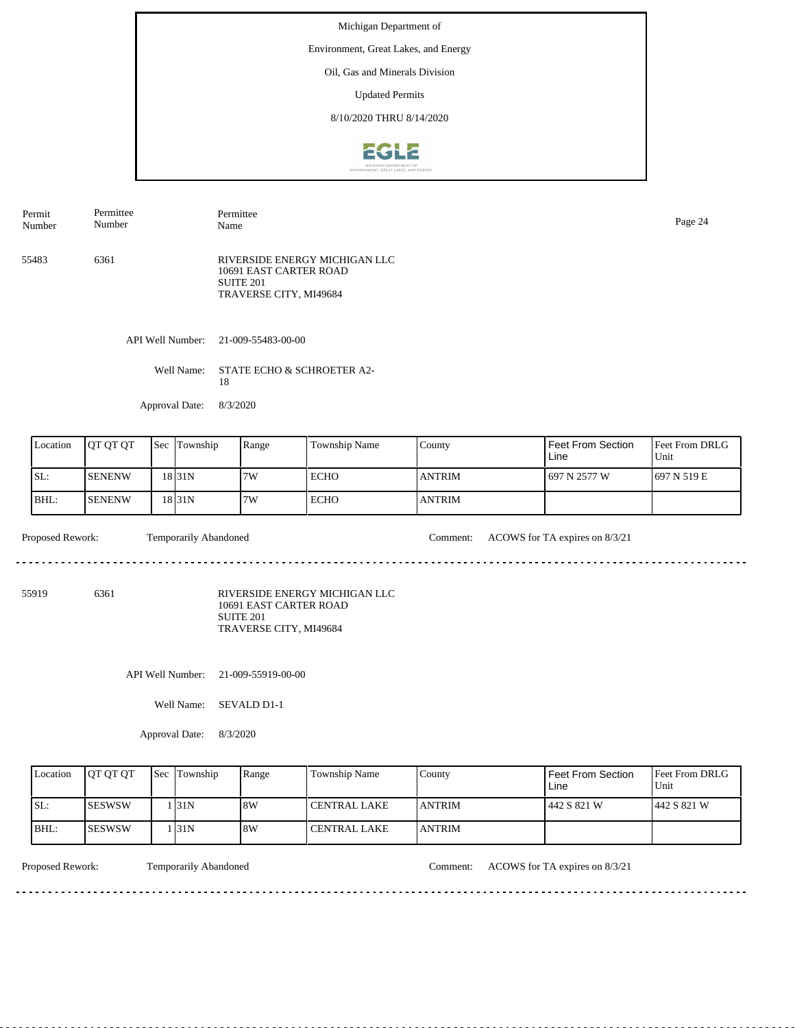Environment, Great Lakes, and Energy

Oil, Gas and Minerals Division

Updated Permits

8/10/2020 THRU 8/14/2020



| Permit | Permittee | Permittee                                                                                      | Page 24 |
|--------|-----------|------------------------------------------------------------------------------------------------|---------|
| Number | Number    | Name                                                                                           |         |
| 55483  | 6361      | RIVERSIDE ENERGY MICHIGAN LLC<br>10691 EAST CARTER ROAD<br>SUITE 201<br>TRAVERSE CITY, MI49684 |         |

API Well Number: 21-009-55483-00-00

Well Name: STATE ECHO & SCHROETER A2-18

Approval Date: 8/3/2020

| Location | <b>IOT OT OT</b> | <b>Sec Township</b> | Range | Township Name | County        | Feet From Section<br>Line | <b>Feet From DRLG</b><br>Unit |
|----------|------------------|---------------------|-------|---------------|---------------|---------------------------|-------------------------------|
| SL:      | <b>ISENENW</b>   | 18 31 N             | 7W    | <b>ECHO</b>   | <b>ANTRIM</b> | 697 N 2577 W              | 1697 N 519 E                  |
| $BHL$ :  | <b>SENENW</b>    | 18 31 N             | 7W    | <b>ECHO</b>   | <b>ANTRIM</b> |                           |                               |

Proposed Rework: Temporarily Abandoned Comment: ACOWS for TA expires on 8/3/21

55919 6361

RIVERSIDE ENERGY MICHIGAN LLC 10691 EAST CARTER ROAD SUITE 201

TRAVERSE CITY, MI49684

API Well Number: 21-009-55919-00-00

Well Name: SEVALD D1-1

Approval Date: 8/3/2020

| Location | <b>OT OT OT</b> | <b>Sec</b> Township | Range | <b>Township Name</b> | Countv         | <b>Feet From Section</b><br>Line | <b>Feet From DRLG</b><br>Unit |
|----------|-----------------|---------------------|-------|----------------------|----------------|----------------------------------|-------------------------------|
| ISL:     | <b>ISESWSW</b>  | 131N                | 8W    | <b>CENTRAL LAKE</b>  | <b>LANTRIM</b> | 442 S 821 W                      | 1442 S 821 W                  |
| BHL:     | <b>ISESWSW</b>  | 131N                | 8W    | CENTRAL LAKE         | <b>ANTRIM</b>  |                                  |                               |

<u>. . . . . . . . .</u>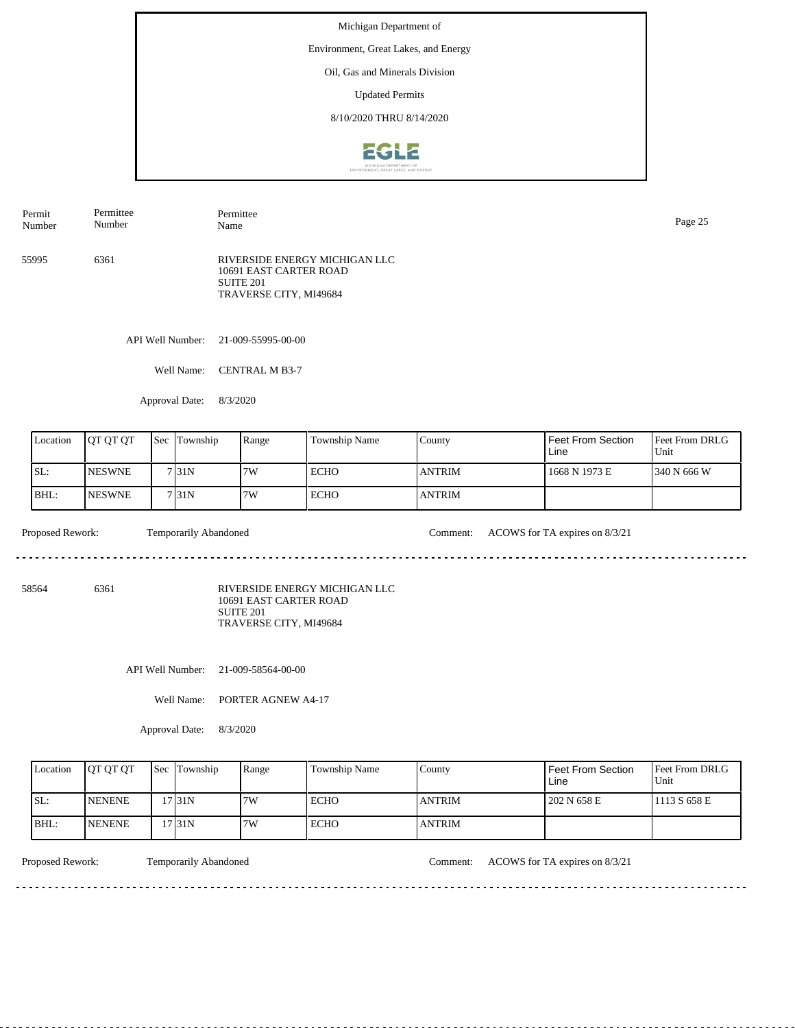Environment, Great Lakes, and Energy

Oil, Gas and Minerals Division

Updated Permits

8/10/2020 THRU 8/14/2020



| Permit<br>Number | Permittee<br>Number | Permittee<br>Name                                                                                         | Page 25 |
|------------------|---------------------|-----------------------------------------------------------------------------------------------------------|---------|
| 55995            | 6361                | RIVERSIDE ENERGY MICHIGAN LLC<br>10691 EAST CARTER ROAD<br>SUITE <sub>201</sub><br>TRAVERSE CITY, MI49684 |         |

API Well Number: 21-009-55995-00-00

Well Name: CENTRAL M B3-7

Approval Date: 8/3/2020

| Location | <b>OT OT OT</b> | $\text{Sec}$ | Township           | Range | <b>Township Name</b> | County        | Feet From Section<br>Line | <b>Feet From DRLG</b><br>Unit |
|----------|-----------------|--------------|--------------------|-------|----------------------|---------------|---------------------------|-------------------------------|
| ISL:     | <b>INESWNE</b>  |              | 7 <sub>131</sub> N | 7W    | <b>ECHO</b>          | <b>ANTRIM</b> | 1668 N 1973 E             | 1340 N 666 W                  |
| BHL:     | <b>NESWNE</b>   |              | 7131N              | 7W    | <b>ECHO</b>          | <b>ANTRIM</b> |                           |                               |

 $- - - - - -$ 

Proposed Rework: Temporarily Abandoned Comment: ACOWS for TA expires on 8/3/21

<u>. . . . . . . . . . . . . . . . .</u>

58564 6361

RIVERSIDE ENERGY MICHIGAN LLC 10691 EAST CARTER ROAD SUITE 201 TRAVERSE CITY, MI49684

API Well Number: 21-009-58564-00-00

Well Name: PORTER AGNEW A4-17

Approval Date: 8/3/2020

| Location | <b>JOT OT OT</b> | <b>Sec Township</b> | Range | Township Name | County        | Feet From Section<br>Line | <b>Feet From DRLG</b><br>Unit |
|----------|------------------|---------------------|-------|---------------|---------------|---------------------------|-------------------------------|
| ISL:     | <b>INENENE</b>   | 17 31 N             | 7W    | <b>ECHO</b>   | <b>ANTRIM</b> | 202 N 658 E               | 1113 S 658 E                  |
| BHL:     | <b>INENENE</b>   | 731N                | 7W    | <b>ECHO</b>   | <b>ANTRIM</b> |                           |                               |

<u>. . . . . . . . .</u>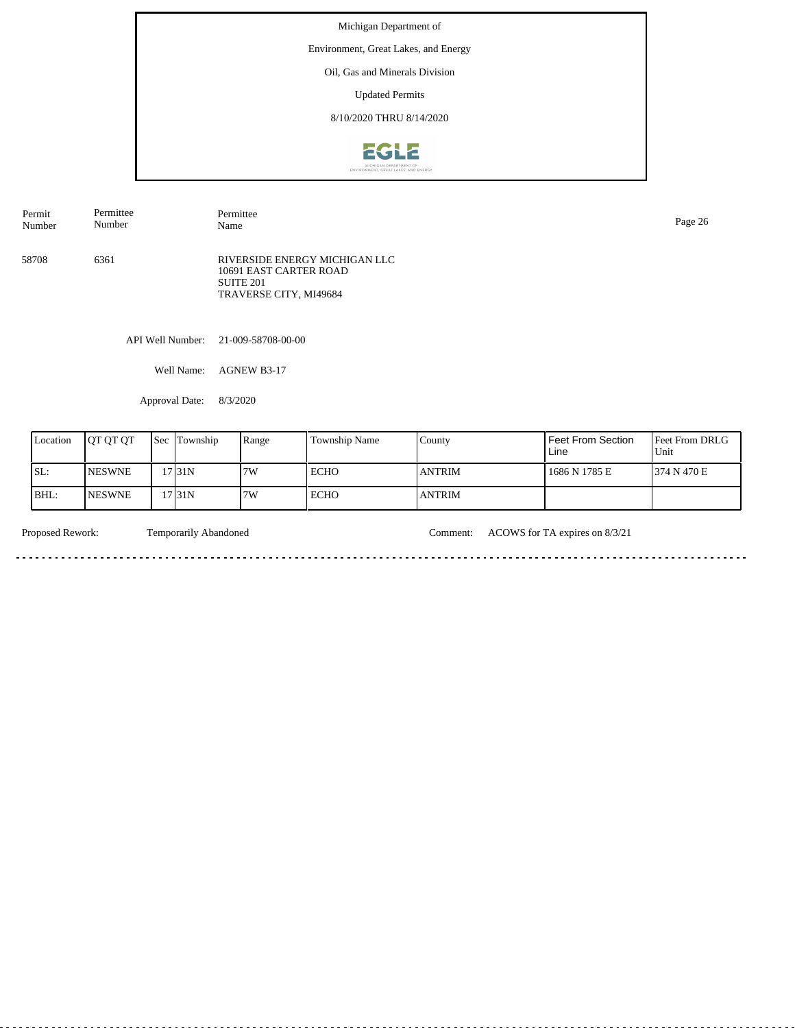Environment, Great Lakes, and Energy

Oil, Gas and Minerals Division

Updated Permits

8/10/2020 THRU 8/14/2020



| Permit | Permittee | Permittee                                                                                                 | Page 26 |
|--------|-----------|-----------------------------------------------------------------------------------------------------------|---------|
| Number | Number    | Name                                                                                                      |         |
| 58708  | 6361      | RIVERSIDE ENERGY MICHIGAN LLC<br>10691 EAST CARTER ROAD<br>SUITE <sub>201</sub><br>TRAVERSE CITY, MI49684 |         |

API Well Number: 21-009-58708-00-00

Well Name: AGNEW B3-17

Approval Date: 8/3/2020

| Location | <b>IOT OT OT</b> | <b>Sec</b> | Township | Range | <b>Township Name</b> | County         | Feet From Section<br>Line | <b>Feet From DRLG</b><br>Unit |
|----------|------------------|------------|----------|-------|----------------------|----------------|---------------------------|-------------------------------|
| SL:      | <b>NESWNE</b>    |            | 17 31 N  | 17W   | ECHO                 | <b>IANTRIM</b> | 1686 N 1785 E             | 1374 N 470 E                  |
| IBHL:    | <b>INESWNE</b>   |            | 17 31 N  | 17W   | ECHO                 | <b>ANTRIM</b>  |                           |                               |

<u>. . . . . . . . . . . . . . .</u>

 $\sim$ 

Proposed Rework: Temporarily Abandoned Comment: ACOWS for TA expires on 8/3/21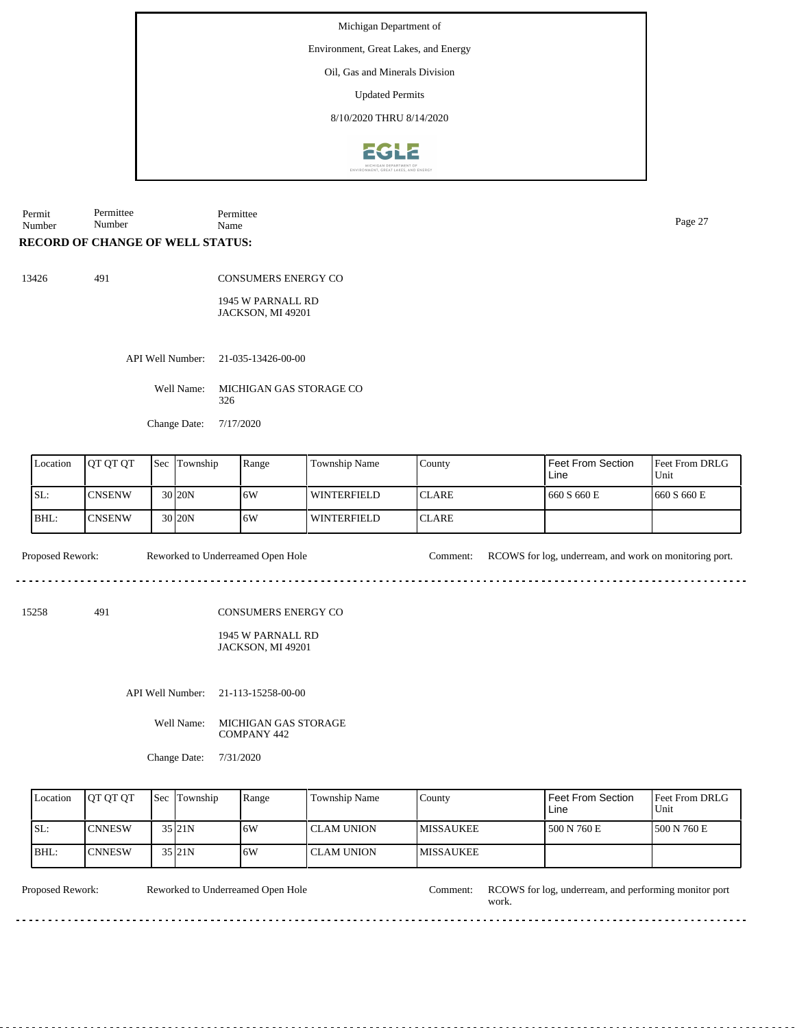Environment, Great Lakes, and Energy

Oil, Gas and Minerals Division

Updated Permits

8/10/2020 THRU 8/14/2020



Permit Number Permittee Number Permittee Name Page 27

## **RECORD OF CHANGE OF WELL STATUS:**

13426 491

CONSUMERS ENERGY CO

1945 W PARNALL RD JACKSON, MI 49201

API Well Number: 21-035-13426-00-00

Well Name: MICHIGAN GAS STORAGE CO 326

Change Date: 7/17/2020

| Location | <b>OT OT OT</b> | <b>Sec</b> | Township | Range | Township Name      | County        | Feet From Section<br>Line | <b>Feet From DRLG</b><br>Unit |
|----------|-----------------|------------|----------|-------|--------------------|---------------|---------------------------|-------------------------------|
| SL:      | <b>CNSENW</b>   |            | 30 20N   | 16W   | WINTERFIELD        | ICLARE        | 660 S 660 E               | 1660 S 660 E                  |
| BHL:     | <b>CNSENW</b>   |            | 30 20N   | .6W   | <b>WINTERFIELD</b> | <b>ICLARE</b> |                           |                               |

Proposed Rework: Reworked to Underreamed Open Hole Comment: RCOWS for log, underream, and work on monitoring port.

15258 491

CONSUMERS ENERGY CO

1945 W PARNALL RD JACKSON, MI 49201

API Well Number: 21-113-15258-00-00

Well Name: MICHIGAN GAS STORAGE COMPANY 442

Change Date: 7/31/2020

| Location | <b>JOT OT OT</b> | <b>Sec</b> Township | Range | Township Name     | County            | Feet From Section<br>Line | <b>Feet From DRLG</b><br>Unit |
|----------|------------------|---------------------|-------|-------------------|-------------------|---------------------------|-------------------------------|
| ISL:     | <b>ICNNESW</b>   | 35 21N              | ا 6W  | <b>CLAM UNION</b> | <b>IMISSAUKEE</b> | 500 N 760 E               | 1500 N 760 E                  |
| BHL:     | <b>ICNNESW</b>   | 35 21N              | ا 6W  | <b>CLAM UNION</b> | <b>IMISSAUKEE</b> |                           |                               |

 $- - - - - - - -$ 

Reworked to Underreamed Open Hole

Proposed Rework: Reworked to Underreamed Open Hole Comment: RCOWS for log, underream, and performing monitor port work.

. . . . . . . . . . . . . . . . . .

 $- - - - - -$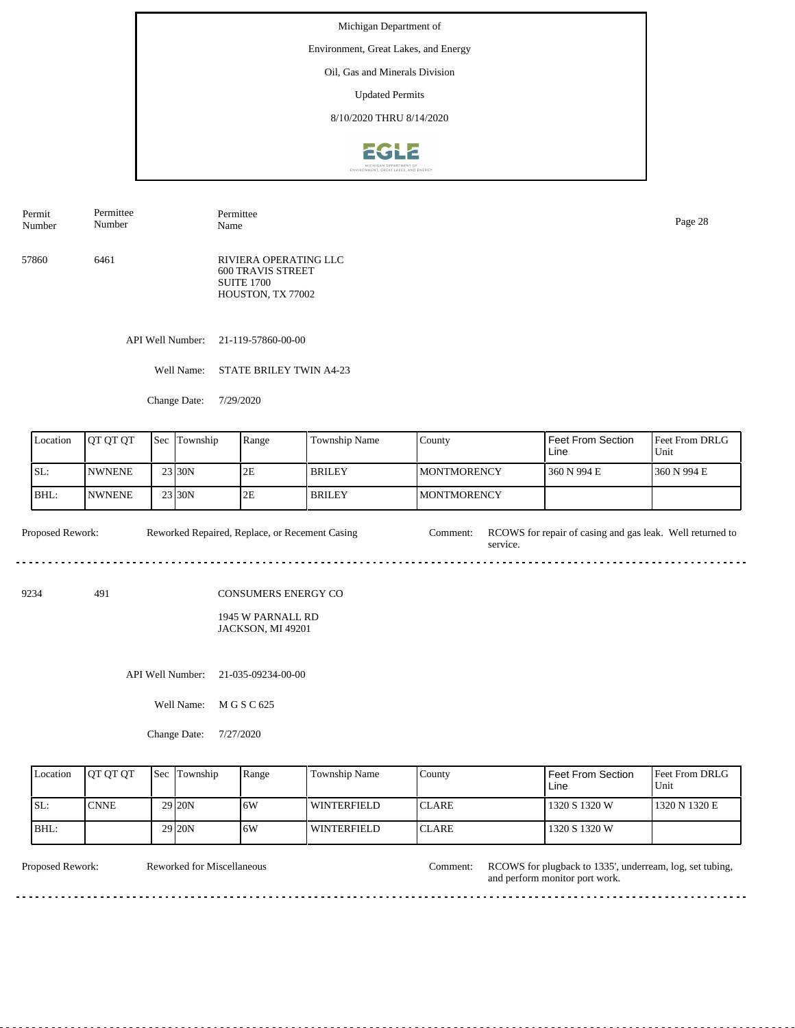Environment, Great Lakes, and Energy

Oil, Gas and Minerals Division

Updated Permits

8/10/2020 THRU 8/14/2020



| Permit | Permittee | Permittee                                                                                   | Page 28 |
|--------|-----------|---------------------------------------------------------------------------------------------|---------|
| Number | Number    | Name                                                                                        |         |
| 57860  | 6461      | RIVIERA OPERATING LLC<br><b>600 TRAVIS STREET</b><br><b>SUITE 1700</b><br>HOUSTON, TX 77002 |         |

API Well Number: 21-119-57860-00-00

Well Name: STATE BRILEY TWIN A4-23

Change Date: 7/29/2020

| Location | <b>IOT OT OT</b> | 'Sec | Township            | Range | Township Name | County              | Feet From Section<br>Line | <b>Feet From DRLG</b><br>Unit |
|----------|------------------|------|---------------------|-------|---------------|---------------------|---------------------------|-------------------------------|
| SL:      | <b>INWNENE</b>   |      | 23 <sub>130</sub> N | 2E    | <b>BRILEY</b> | <b>IMONTMORENCY</b> | 360 N 994 E               | 1360 N 994 E                  |
| BHL:     | <b>INWNENE</b>   |      | 23 <sub>130</sub> N | 2E    | <b>BRILEY</b> | <b>IMONTMORENCY</b> |                           |                               |

Proposed Rework: Reworked Repaired, Replace, or Recement Casing Comment: RCOWS for repair of casing and gas leak. Well returned to Reworked Repaired, Replace, or Recement Casing service. <u>....................</u>

9234 491

CONSUMERS ENERGY CO

1945 W PARNALL RD JACKSON, MI 49201

API Well Number: 21-035-09234-00-00

Well Name: M G S C 625

Change Date: 7/27/2020

| Location | <b>OT OT OT</b> | <b>Sec</b> Township | Range | Township Name      | County        | Feet From Section<br>Line | Feet From DRLG<br>Unit |
|----------|-----------------|---------------------|-------|--------------------|---------------|---------------------------|------------------------|
| ISL:     | <b>CNNE</b>     | 29 <sub>120</sub> N | 16W   | WINTERFIELD        | ICLARE        | 1320 S 1320 W             | 1320 N 1320 E          |
| BHL:     |                 | 29 <sub>120</sub> N | 16W   | <b>WINTERFIELD</b> | <b>ICLARE</b> | 1320 S 1320 W             |                        |

<u>. . . . . . . . . .</u>

Reworked for Miscellaneous

Proposed Rework: Reworked for Miscellaneous Comment: RCOWS for plugback to 1335', underream, log, set tubing, and perform monitor port work.

 $- - - - - -$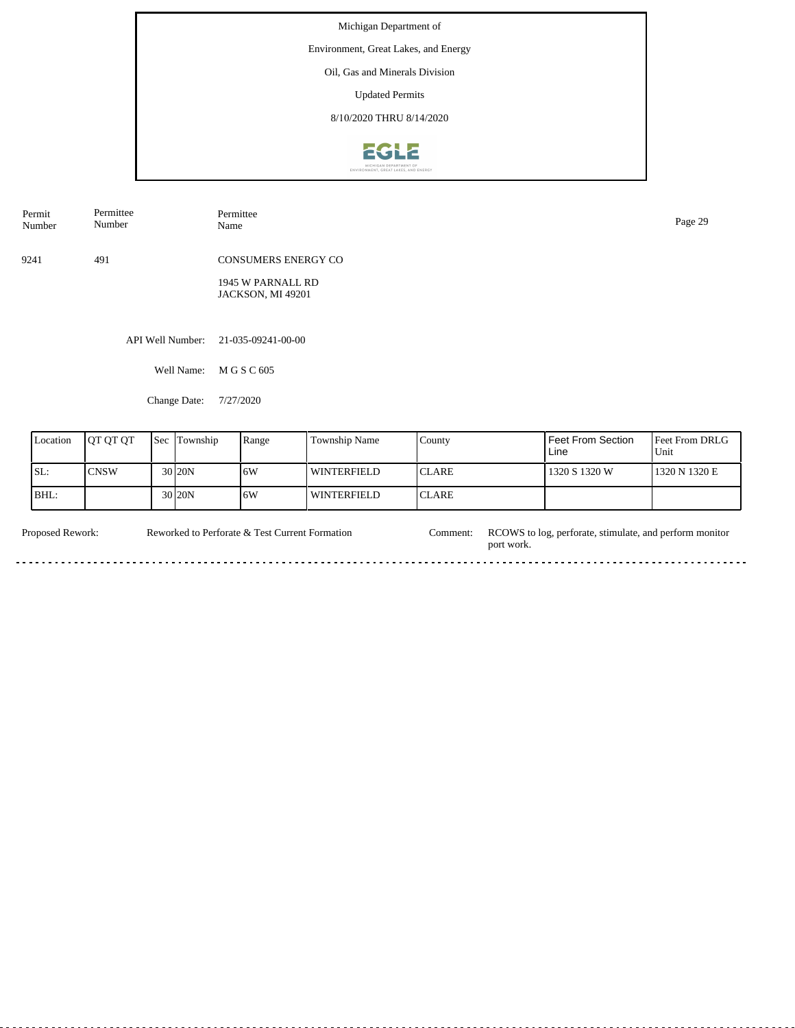Michigan Department of Environment, Great Lakes, and Energy Oil, Gas and Minerals Division

Updated Permits

8/10/2020 THRU 8/14/2020



| Permit<br>Number | Permittee<br>Number | Permittee<br>Page 29<br>Name           |  |  |  |  |  |
|------------------|---------------------|----------------------------------------|--|--|--|--|--|
| 9241             | 491                 | <b>CONSUMERS ENERGY CO</b>             |  |  |  |  |  |
|                  |                     | 1945 W PARNALL RD<br>JACKSON, MI 49201 |  |  |  |  |  |
|                  |                     |                                        |  |  |  |  |  |
|                  | API Well Number:    | 21-035-09241-00-00                     |  |  |  |  |  |
|                  | Well Name:          | M G S C 605                            |  |  |  |  |  |
|                  | Change Date:        | 7/27/2020                              |  |  |  |  |  |

| Location | <b>IOT OT OT</b> | <b>Sec</b> | Township            | Range | <b>Township Name</b> | County        | <b>Feet From Section</b><br>Line | <b>Feet From DRLG</b><br>Unit |
|----------|------------------|------------|---------------------|-------|----------------------|---------------|----------------------------------|-------------------------------|
| SL:      | <b>CNSW</b>      |            | 30 <sub>20N</sub>   | 16W   | WINTERFIELD          | <b>ICLARE</b> | 1320 S 1320 W                    | 1320 N 1320 E                 |
| IBHL:    |                  |            | 30 <sub>120</sub> N | 16W   | WINTERFIELD          | <b>ICLARE</b> |                                  |                               |

Proposed Rework: Reworked to Perforate & Test Current Formation Comment: RCOWS to log, perforate, stimulate, and perform monitor Reworked to Perforate  $\&$  Test Current Formation port work. ă.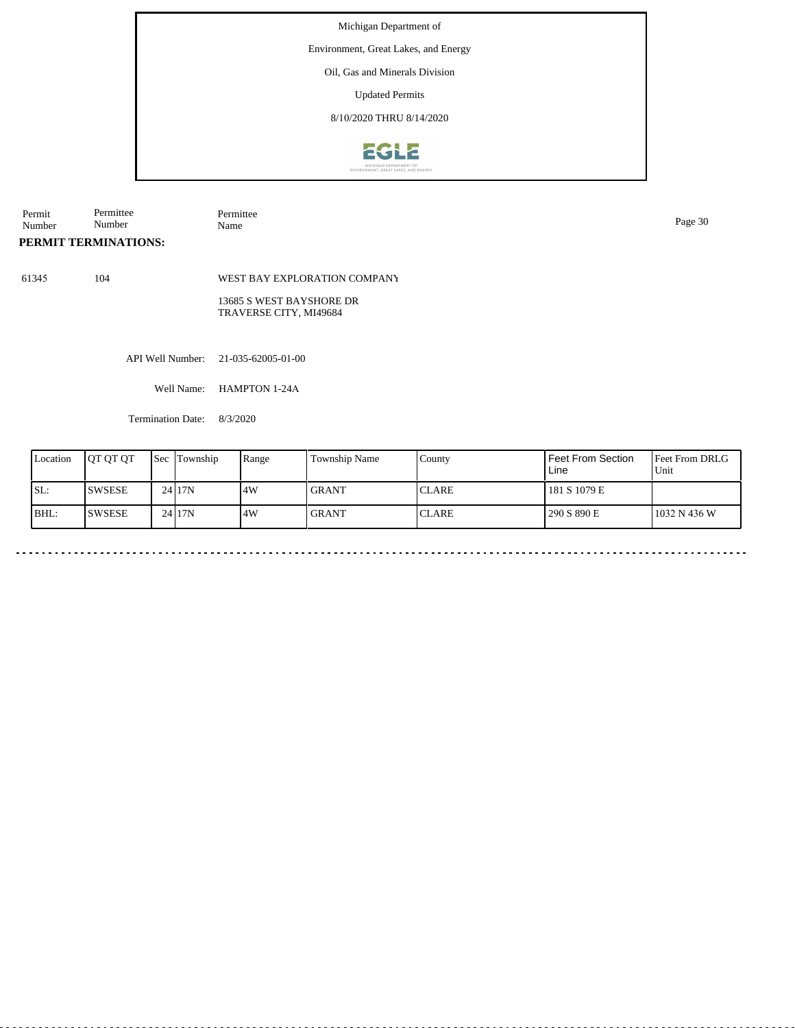Environment, Great Lakes, and Energy

Oil, Gas and Minerals Division

Updated Permits

8/10/2020 THRU 8/14/2020



| Permit             | -<br>Permittee          | Permittee<br>. | $\sim$ $\sim$ |
|--------------------|-------------------------|----------------|---------------|
| Number<br>$\cdots$ | $\sim$ $\sim$<br>Number | Name           | Page          |

## **PERMIT TERMINATIONS:**

61345 104

WEST BAY EXPLORATION COMPANY

13685 S WEST BAYSHORE DR TRAVERSE CITY, MI49684

API Well Number: 21-035-62005-01-00

Well Name: HAMPTON 1-24A

Termination Date: 8/3/2020

| Location | <b>IOT OT OT</b> | <b>Sec</b> | Township | Range | Township Name | County        | <b>Feet From Section</b><br>Line | <b>Feet From DRLG</b><br>l Unit |
|----------|------------------|------------|----------|-------|---------------|---------------|----------------------------------|---------------------------------|
| ISL:     | <b>SWSESE</b>    |            | 24117N   | 4W    | <b>GRANT</b>  | <b>ICLARE</b> | 181 S 1079 E                     |                                 |
| BHL:     | <b>SWSESE</b>    |            | 24117N   | .4W   | <b>GRANT</b>  | <b>CLARE</b>  | 290 S 890 E                      | 1032 N 436 W                    |